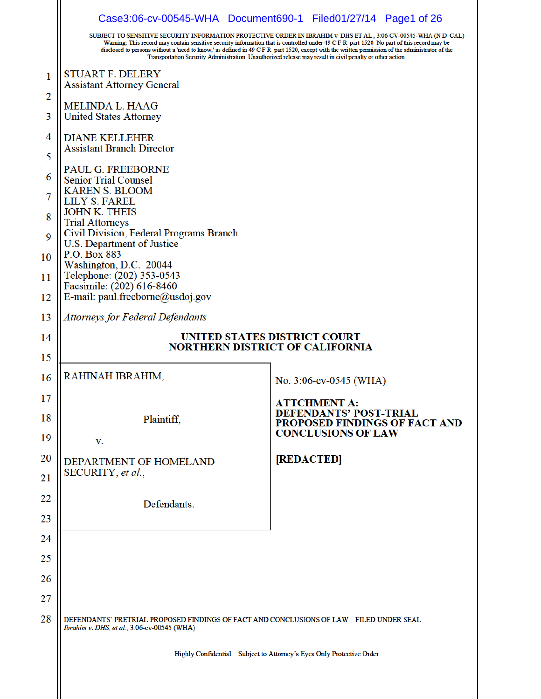|          |                                                                                                                                         | Case3:06-cv-00545-WHA Document690-1 Filed01/27/14 Page1 of 26<br>SUBJECT TO SENSITIVE SECURITY INFORMATION PROTECTIVE ORDER IN IBRAHIM v DHS ET AL , 3:06-CV-00545-WHA (N D CAL)<br>Warning: This record may contain sensitive security information that is controlled under 49 C F R part 1520 No part of this record may be<br>disclosed to persons without a 'need to know,' as defined in 49 C F R part 1520, except with the written permission of the administrator of the<br>Transportation Security Administration Unauthorized release may result in civil penalty or other action |  |
|----------|-----------------------------------------------------------------------------------------------------------------------------------------|---------------------------------------------------------------------------------------------------------------------------------------------------------------------------------------------------------------------------------------------------------------------------------------------------------------------------------------------------------------------------------------------------------------------------------------------------------------------------------------------------------------------------------------------------------------------------------------------|--|
| 1        | STUART F. DELERY                                                                                                                        |                                                                                                                                                                                                                                                                                                                                                                                                                                                                                                                                                                                             |  |
| 2        | <b>Assistant Attorney General</b>                                                                                                       |                                                                                                                                                                                                                                                                                                                                                                                                                                                                                                                                                                                             |  |
| 3        | MELINDA L. HAAG<br><b>United States Attorney</b>                                                                                        |                                                                                                                                                                                                                                                                                                                                                                                                                                                                                                                                                                                             |  |
| 4        | <b>DIANE KELLEHER</b><br><b>Assistant Branch Director</b>                                                                               |                                                                                                                                                                                                                                                                                                                                                                                                                                                                                                                                                                                             |  |
| 5        | PAUL G. FREEBORNE                                                                                                                       |                                                                                                                                                                                                                                                                                                                                                                                                                                                                                                                                                                                             |  |
| 6        | <b>Senior Trial Counsel</b><br><b>KAREN S. BLOOM</b>                                                                                    |                                                                                                                                                                                                                                                                                                                                                                                                                                                                                                                                                                                             |  |
| 7        | LILY S. FAREL<br><b>JOHN K. THEIS</b>                                                                                                   |                                                                                                                                                                                                                                                                                                                                                                                                                                                                                                                                                                                             |  |
| 8<br>9   | <b>Trial Attorneys</b><br>Civil Division, Federal Programs Branch                                                                       |                                                                                                                                                                                                                                                                                                                                                                                                                                                                                                                                                                                             |  |
| 10       | U.S. Department of Justice<br>P.O. Box 883                                                                                              |                                                                                                                                                                                                                                                                                                                                                                                                                                                                                                                                                                                             |  |
| 11       | Washington, D.C. 20044<br>Telephone: (202) 353-0543                                                                                     |                                                                                                                                                                                                                                                                                                                                                                                                                                                                                                                                                                                             |  |
| 12       | Facsimile: (202) 616-8460<br>E-mail: paul.freeborne@usdoj.gov                                                                           |                                                                                                                                                                                                                                                                                                                                                                                                                                                                                                                                                                                             |  |
| 13       | Attorneys for Federal Defendants                                                                                                        |                                                                                                                                                                                                                                                                                                                                                                                                                                                                                                                                                                                             |  |
| 14       |                                                                                                                                         | UNITED STATES DISTRICT COURT<br><b>NORTHERN DISTRICT OF CALIFORNIA</b>                                                                                                                                                                                                                                                                                                                                                                                                                                                                                                                      |  |
| 15       |                                                                                                                                         |                                                                                                                                                                                                                                                                                                                                                                                                                                                                                                                                                                                             |  |
| 16       | RAHINAH IBRAHIM,                                                                                                                        | No. 3:06-cv-0545 (WHA)                                                                                                                                                                                                                                                                                                                                                                                                                                                                                                                                                                      |  |
| 17       |                                                                                                                                         | <b>ATTCHMENT A:</b>                                                                                                                                                                                                                                                                                                                                                                                                                                                                                                                                                                         |  |
| 18<br>19 | Plaintiff,                                                                                                                              | EFENDANTS' POST-TRIAL<br>PROPOSED FINDINGS OF FACT AND<br><b>CONCLUSIONS OF LAW</b>                                                                                                                                                                                                                                                                                                                                                                                                                                                                                                         |  |
| 20       | v.                                                                                                                                      |                                                                                                                                                                                                                                                                                                                                                                                                                                                                                                                                                                                             |  |
| 21       | DEPARTMENT OF HOMELAND<br>SECURITY, et al.,                                                                                             | [REDACTED]                                                                                                                                                                                                                                                                                                                                                                                                                                                                                                                                                                                  |  |
| 22       |                                                                                                                                         |                                                                                                                                                                                                                                                                                                                                                                                                                                                                                                                                                                                             |  |
| 23       | Defendants.                                                                                                                             |                                                                                                                                                                                                                                                                                                                                                                                                                                                                                                                                                                                             |  |
| 24       |                                                                                                                                         |                                                                                                                                                                                                                                                                                                                                                                                                                                                                                                                                                                                             |  |
| 25       |                                                                                                                                         |                                                                                                                                                                                                                                                                                                                                                                                                                                                                                                                                                                                             |  |
| 26       |                                                                                                                                         |                                                                                                                                                                                                                                                                                                                                                                                                                                                                                                                                                                                             |  |
| 27       |                                                                                                                                         |                                                                                                                                                                                                                                                                                                                                                                                                                                                                                                                                                                                             |  |
| 28       |                                                                                                                                         |                                                                                                                                                                                                                                                                                                                                                                                                                                                                                                                                                                                             |  |
|          | DEFENDANTS' PRETRIAL PROPOSED FINDINGS OF FACT AND CONCLUSIONS OF LAW - FILED UNDER SEAL<br>Ibrahim v. DHS, et al., 3:06-cv-00545 (WHA) |                                                                                                                                                                                                                                                                                                                                                                                                                                                                                                                                                                                             |  |
|          |                                                                                                                                         | Highly Confidential - Subject to Attorney's Eyes Only Protective Order                                                                                                                                                                                                                                                                                                                                                                                                                                                                                                                      |  |
|          |                                                                                                                                         |                                                                                                                                                                                                                                                                                                                                                                                                                                                                                                                                                                                             |  |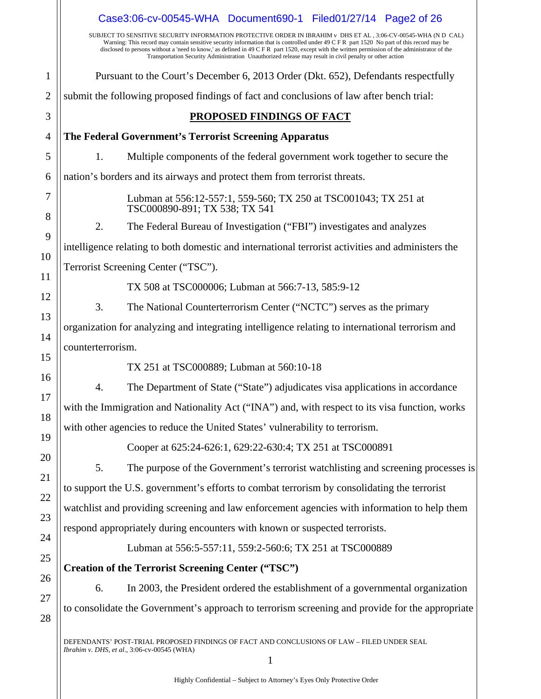|              | Case3:06-cv-00545-WHA Document690-1 Filed01/27/14 Page2 of 26                                                                                                                                                                                                                                                                                                                                                                                                                                                             |  |  |
|--------------|---------------------------------------------------------------------------------------------------------------------------------------------------------------------------------------------------------------------------------------------------------------------------------------------------------------------------------------------------------------------------------------------------------------------------------------------------------------------------------------------------------------------------|--|--|
|              | SUBJECT TO SENSITIVE SECURITY INFORMATION PROTECTIVE ORDER IN IBRAHIM v DHS ET AL, 3:06-CV-00545-WHA (N D CAL)<br>Warning: This record may contain sensitive security information that is controlled under 49 C F R part 1520 No part of this record may be<br>disclosed to persons without a 'need to know,' as defined in 49 C F R part 1520, except with the written permission of the administrator of the<br>Transportation Security Administration Unauthorized release may result in civil penalty or other action |  |  |
| $\mathbf{1}$ | Pursuant to the Court's December 6, 2013 Order (Dkt. 652), Defendants respectfully                                                                                                                                                                                                                                                                                                                                                                                                                                        |  |  |
| $\mathbf{2}$ | submit the following proposed findings of fact and conclusions of law after bench trial:                                                                                                                                                                                                                                                                                                                                                                                                                                  |  |  |
| 3            | <b>PROPOSED FINDINGS OF FACT</b>                                                                                                                                                                                                                                                                                                                                                                                                                                                                                          |  |  |
| 4            | The Federal Government's Terrorist Screening Apparatus                                                                                                                                                                                                                                                                                                                                                                                                                                                                    |  |  |
| 5            | Multiple components of the federal government work together to secure the<br>1.                                                                                                                                                                                                                                                                                                                                                                                                                                           |  |  |
| 6            | nation's borders and its airways and protect them from terrorist threats.                                                                                                                                                                                                                                                                                                                                                                                                                                                 |  |  |
| 7<br>8       | Lubman at 556:12-557:1, 559-560; TX 250 at TSC001043; TX 251 at<br>TSC000890-891; TX 538; TX 541                                                                                                                                                                                                                                                                                                                                                                                                                          |  |  |
| 9            | The Federal Bureau of Investigation ("FBI") investigates and analyzes<br>2.                                                                                                                                                                                                                                                                                                                                                                                                                                               |  |  |
| 10           | intelligence relating to both domestic and international terrorist activities and administers the                                                                                                                                                                                                                                                                                                                                                                                                                         |  |  |
| 11           | Terrorist Screening Center ("TSC").                                                                                                                                                                                                                                                                                                                                                                                                                                                                                       |  |  |
| 12           | TX 508 at TSC000006; Lubman at 566:7-13, 585:9-12                                                                                                                                                                                                                                                                                                                                                                                                                                                                         |  |  |
| 13           | 3.<br>The National Counterterrorism Center ("NCTC") serves as the primary                                                                                                                                                                                                                                                                                                                                                                                                                                                 |  |  |
| 14           | organization for analyzing and integrating intelligence relating to international terrorism and                                                                                                                                                                                                                                                                                                                                                                                                                           |  |  |
| 15           | counterterrorism.                                                                                                                                                                                                                                                                                                                                                                                                                                                                                                         |  |  |
| 16           | TX 251 at TSC000889; Lubman at 560:10-18                                                                                                                                                                                                                                                                                                                                                                                                                                                                                  |  |  |
| 17           | The Department of State ("State") adjudicates visa applications in accordance<br>4.                                                                                                                                                                                                                                                                                                                                                                                                                                       |  |  |
| 18           | with the Immigration and Nationality Act ("INA") and, with respect to its visa function, works                                                                                                                                                                                                                                                                                                                                                                                                                            |  |  |
| 19           | with other agencies to reduce the United States' vulnerability to terrorism.                                                                                                                                                                                                                                                                                                                                                                                                                                              |  |  |
| 20           | Cooper at 625:24-626:1, 629:22-630:4; TX 251 at TSC000891                                                                                                                                                                                                                                                                                                                                                                                                                                                                 |  |  |
| 21           | The purpose of the Government's terrorist watchlisting and screening processes is<br>5.                                                                                                                                                                                                                                                                                                                                                                                                                                   |  |  |
| 22           | to support the U.S. government's efforts to combat terrorism by consolidating the terrorist                                                                                                                                                                                                                                                                                                                                                                                                                               |  |  |
| 23           | watchlist and providing screening and law enforcement agencies with information to help them                                                                                                                                                                                                                                                                                                                                                                                                                              |  |  |
| 24           | respond appropriately during encounters with known or suspected terrorists.                                                                                                                                                                                                                                                                                                                                                                                                                                               |  |  |
| 25           | Lubman at 556:5-557:11, 559:2-560:6; TX 251 at TSC000889                                                                                                                                                                                                                                                                                                                                                                                                                                                                  |  |  |
| 26           | <b>Creation of the Terrorist Screening Center ("TSC")</b>                                                                                                                                                                                                                                                                                                                                                                                                                                                                 |  |  |
| 27           | In 2003, the President ordered the establishment of a governmental organization<br>6.                                                                                                                                                                                                                                                                                                                                                                                                                                     |  |  |
| 28           | to consolidate the Government's approach to terrorism screening and provide for the appropriate                                                                                                                                                                                                                                                                                                                                                                                                                           |  |  |
|              | DEFENDANTS' POST-TRIAL PROPOSED FINDINGS OF FACT AND CONCLUSIONS OF LAW - FILED UNDER SEAL<br>Ibrahim v. DHS, et al., 3:06-cv-00545 (WHA)                                                                                                                                                                                                                                                                                                                                                                                 |  |  |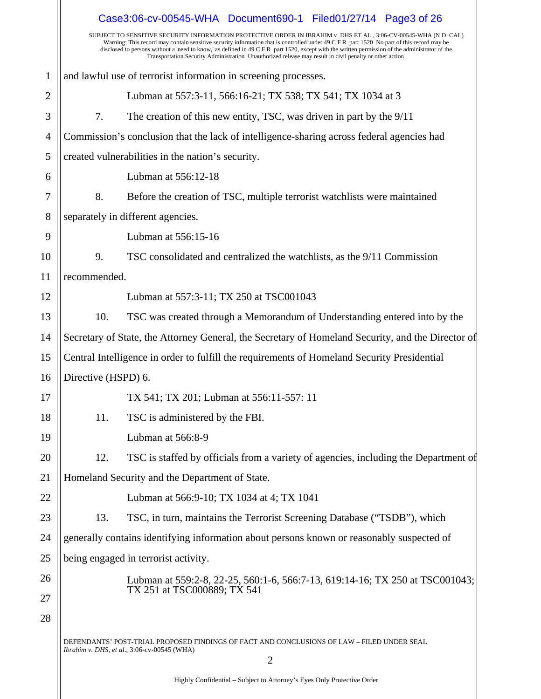|                | Case3:06-cv-00545-WHA Document690-1 Filed01/27/14 Page3 of 26                                                                                                                                                                                                                                                                                                                                                                                                                                                             |  |
|----------------|---------------------------------------------------------------------------------------------------------------------------------------------------------------------------------------------------------------------------------------------------------------------------------------------------------------------------------------------------------------------------------------------------------------------------------------------------------------------------------------------------------------------------|--|
|                | SUBJECT TO SENSITIVE SECURITY INFORMATION PROTECTIVE ORDER IN IBRAHIM v DHS ET AL, 3:06-CV-00545-WHA (N D CAL)<br>Warning: This record may contain sensitive security information that is controlled under 49 C F R part 1520 No part of this record may be<br>disclosed to persons without a 'need to know,' as defined in 49 C F R part 1520, except with the written permission of the administrator of the<br>Transportation Security Administration Unauthorized release may result in civil penalty or other action |  |
| $\mathbf{1}$   | and lawful use of terrorist information in screening processes.                                                                                                                                                                                                                                                                                                                                                                                                                                                           |  |
| $\overline{2}$ | Lubman at 557:3-11, 566:16-21; TX 538; TX 541; TX 1034 at 3                                                                                                                                                                                                                                                                                                                                                                                                                                                               |  |
| 3              | 7.<br>The creation of this new entity, TSC, was driven in part by the 9/11                                                                                                                                                                                                                                                                                                                                                                                                                                                |  |
| 4              | Commission's conclusion that the lack of intelligence-sharing across federal agencies had                                                                                                                                                                                                                                                                                                                                                                                                                                 |  |
| 5              | created vulnerabilities in the nation's security.                                                                                                                                                                                                                                                                                                                                                                                                                                                                         |  |
| 6              | Lubman at 556:12-18                                                                                                                                                                                                                                                                                                                                                                                                                                                                                                       |  |
| 7              | 8.<br>Before the creation of TSC, multiple terrorist watchlists were maintained                                                                                                                                                                                                                                                                                                                                                                                                                                           |  |
| 8              | separately in different agencies.                                                                                                                                                                                                                                                                                                                                                                                                                                                                                         |  |
| 9              | Lubman at 556:15-16                                                                                                                                                                                                                                                                                                                                                                                                                                                                                                       |  |
| 10             | TSC consolidated and centralized the watchlists, as the 9/11 Commission<br>9.                                                                                                                                                                                                                                                                                                                                                                                                                                             |  |
| 11             | recommended.                                                                                                                                                                                                                                                                                                                                                                                                                                                                                                              |  |
| 12             | Lubman at 557:3-11; TX 250 at TSC001043                                                                                                                                                                                                                                                                                                                                                                                                                                                                                   |  |
| 13             | 10.<br>TSC was created through a Memorandum of Understanding entered into by the                                                                                                                                                                                                                                                                                                                                                                                                                                          |  |
| 14             | Secretary of State, the Attorney General, the Secretary of Homeland Security, and the Director of                                                                                                                                                                                                                                                                                                                                                                                                                         |  |
| 15             | Central Intelligence in order to fulfill the requirements of Homeland Security Presidential                                                                                                                                                                                                                                                                                                                                                                                                                               |  |
| 16             | Directive (HSPD) 6.                                                                                                                                                                                                                                                                                                                                                                                                                                                                                                       |  |
| 17             | TX 541; TX 201; Lubman at 556:11-557: 11                                                                                                                                                                                                                                                                                                                                                                                                                                                                                  |  |
| 18             | 11.<br>TSC is administered by the FBI.                                                                                                                                                                                                                                                                                                                                                                                                                                                                                    |  |
| 19             | Lubman at 566:8-9                                                                                                                                                                                                                                                                                                                                                                                                                                                                                                         |  |
| 20             | TSC is staffed by officials from a variety of agencies, including the Department of<br>12.                                                                                                                                                                                                                                                                                                                                                                                                                                |  |
| 21             | Homeland Security and the Department of State.                                                                                                                                                                                                                                                                                                                                                                                                                                                                            |  |
| 22             | Lubman at 566:9-10; TX 1034 at 4; TX 1041                                                                                                                                                                                                                                                                                                                                                                                                                                                                                 |  |
| 23             | 13.<br>TSC, in turn, maintains the Terrorist Screening Database ("TSDB"), which                                                                                                                                                                                                                                                                                                                                                                                                                                           |  |
| 24             | generally contains identifying information about persons known or reasonably suspected of                                                                                                                                                                                                                                                                                                                                                                                                                                 |  |
| 25             | being engaged in terrorist activity.                                                                                                                                                                                                                                                                                                                                                                                                                                                                                      |  |
| 26             | Lubman at 559:2-8, 22-25, 560:1-6, 566:7-13, 619:14-16; TX 250 at TSC001043;                                                                                                                                                                                                                                                                                                                                                                                                                                              |  |
| 27             | TX 251 at TSC000889; TX 541                                                                                                                                                                                                                                                                                                                                                                                                                                                                                               |  |
| 28             |                                                                                                                                                                                                                                                                                                                                                                                                                                                                                                                           |  |
|                | DEFENDANTS' POST-TRIAL PROPOSED FINDINGS OF FACT AND CONCLUSIONS OF LAW - FILED UNDER SEAL                                                                                                                                                                                                                                                                                                                                                                                                                                |  |
|                | Ibrahim v. DHS, et al., 3:06-cv-00545 (WHA)<br>$\overline{2}$                                                                                                                                                                                                                                                                                                                                                                                                                                                             |  |
|                |                                                                                                                                                                                                                                                                                                                                                                                                                                                                                                                           |  |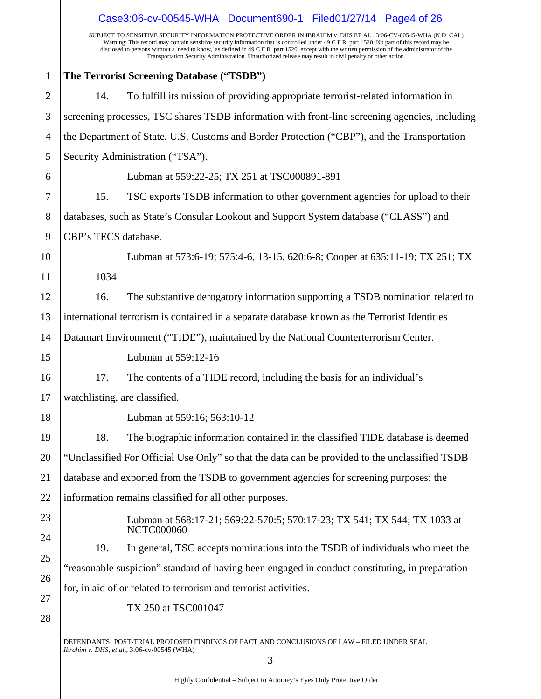|                | Case3:06-cv-00545-WHA Document690-1 Filed01/27/14 Page4 of 26                                                                                                                                                                                                                                                                                                                                                                                                                                                              |  |
|----------------|----------------------------------------------------------------------------------------------------------------------------------------------------------------------------------------------------------------------------------------------------------------------------------------------------------------------------------------------------------------------------------------------------------------------------------------------------------------------------------------------------------------------------|--|
|                | SUBJECT TO SENSITIVE SECURITY INFORMATION PROTECTIVE ORDER IN IBRAHIM v DHS ET AL , 3:06-CV-00545-WHA (N D CAL)<br>Warning: This record may contain sensitive security information that is controlled under 49 C F R part 1520 No part of this record may be<br>disclosed to persons without a 'need to know,' as defined in 49 C F R part 1520, except with the written permission of the administrator of the<br>Transportation Security Administration Unauthorized release may result in civil penalty or other action |  |
| $\mathbf{1}$   | The Terrorist Screening Database ("TSDB")                                                                                                                                                                                                                                                                                                                                                                                                                                                                                  |  |
| $\overline{2}$ | To fulfill its mission of providing appropriate terrorist-related information in<br>14.                                                                                                                                                                                                                                                                                                                                                                                                                                    |  |
| 3              | screening processes, TSC shares TSDB information with front-line screening agencies, including                                                                                                                                                                                                                                                                                                                                                                                                                             |  |
| $\overline{4}$ | the Department of State, U.S. Customs and Border Protection ("CBP"), and the Transportation                                                                                                                                                                                                                                                                                                                                                                                                                                |  |
| 5              | Security Administration ("TSA").                                                                                                                                                                                                                                                                                                                                                                                                                                                                                           |  |
| 6              | Lubman at 559:22-25; TX 251 at TSC000891-891                                                                                                                                                                                                                                                                                                                                                                                                                                                                               |  |
| 7              | TSC exports TSDB information to other government agencies for upload to their<br>15.                                                                                                                                                                                                                                                                                                                                                                                                                                       |  |
| 8              | databases, such as State's Consular Lookout and Support System database ("CLASS") and                                                                                                                                                                                                                                                                                                                                                                                                                                      |  |
| 9              | CBP's TECS database.                                                                                                                                                                                                                                                                                                                                                                                                                                                                                                       |  |
| 10             | Lubman at 573:6-19; 575:4-6, 13-15, 620:6-8; Cooper at 635:11-19; TX 251; TX                                                                                                                                                                                                                                                                                                                                                                                                                                               |  |
| 11             | 1034                                                                                                                                                                                                                                                                                                                                                                                                                                                                                                                       |  |
| 12             | The substantive derogatory information supporting a TSDB nomination related to<br>16.                                                                                                                                                                                                                                                                                                                                                                                                                                      |  |
| 13             | international terrorism is contained in a separate database known as the Terrorist Identities                                                                                                                                                                                                                                                                                                                                                                                                                              |  |
| 14             | Datamart Environment ("TIDE"), maintained by the National Counterterrorism Center.                                                                                                                                                                                                                                                                                                                                                                                                                                         |  |
| 15             | Lubman at 559:12-16                                                                                                                                                                                                                                                                                                                                                                                                                                                                                                        |  |
| 16             | 17.<br>The contents of a TIDE record, including the basis for an individual's                                                                                                                                                                                                                                                                                                                                                                                                                                              |  |
| 17             | watchlisting, are classified.                                                                                                                                                                                                                                                                                                                                                                                                                                                                                              |  |
| 18             | Lubman at 559:16; 563:10-12                                                                                                                                                                                                                                                                                                                                                                                                                                                                                                |  |
| 19             | 18.<br>The biographic information contained in the classified TIDE database is deemed                                                                                                                                                                                                                                                                                                                                                                                                                                      |  |
| 20             | "Unclassified For Official Use Only" so that the data can be provided to the unclassified TSDB                                                                                                                                                                                                                                                                                                                                                                                                                             |  |
| 21             | database and exported from the TSDB to government agencies for screening purposes; the                                                                                                                                                                                                                                                                                                                                                                                                                                     |  |
| 22             | information remains classified for all other purposes.                                                                                                                                                                                                                                                                                                                                                                                                                                                                     |  |
| 23             | Lubman at 568:17-21; 569:22-570:5; 570:17-23; TX 541; TX 544; TX 1033 at<br><b>NCTC000060</b>                                                                                                                                                                                                                                                                                                                                                                                                                              |  |
| 24             | 19.<br>In general, TSC accepts nominations into the TSDB of individuals who meet the                                                                                                                                                                                                                                                                                                                                                                                                                                       |  |
| 25             | "reasonable suspicion" standard of having been engaged in conduct constituting, in preparation                                                                                                                                                                                                                                                                                                                                                                                                                             |  |
| 26<br>27       | for, in aid of or related to terrorism and terrorist activities.                                                                                                                                                                                                                                                                                                                                                                                                                                                           |  |
| 28             | TX 250 at TSC001047                                                                                                                                                                                                                                                                                                                                                                                                                                                                                                        |  |
|                | DEFENDANTS' POST-TRIAL PROPOSED FINDINGS OF FACT AND CONCLUSIONS OF LAW – FILED UNDER SEAL<br><i>Ibrahim v. DHS, et al., 3:06-cv-00545 (WHA)</i><br>3                                                                                                                                                                                                                                                                                                                                                                      |  |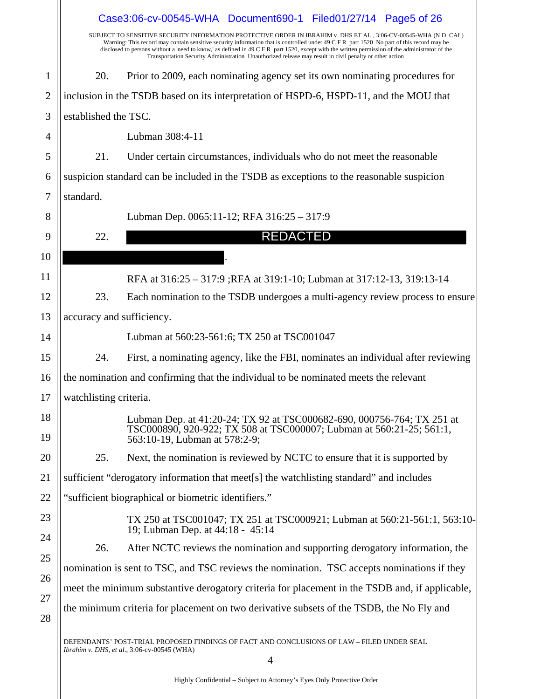|                | Case3:06-cv-00545-WHA Document690-1 Filed01/27/14 Page5 of 26                                  |                                                                                                                                                                                                                                                                                                                                                                                                                                                                                                                           |  |  |
|----------------|------------------------------------------------------------------------------------------------|---------------------------------------------------------------------------------------------------------------------------------------------------------------------------------------------------------------------------------------------------------------------------------------------------------------------------------------------------------------------------------------------------------------------------------------------------------------------------------------------------------------------------|--|--|
|                |                                                                                                | SUBJECT TO SENSITIVE SECURITY INFORMATION PROTECTIVE ORDER IN IBRAHIM v DHS ET AL, 3:06-CV-00545-WHA (N D CAL)<br>Warning: This record may contain sensitive security information that is controlled under 49 C F R part 1520 No part of this record may be<br>disclosed to persons without a 'need to know,' as defined in 49 C F R part 1520, except with the written permission of the administrator of the<br>Transportation Security Administration Unauthorized release may result in civil penalty or other action |  |  |
| $\mathbf{1}$   | 20.                                                                                            | Prior to 2009, each nominating agency set its own nominating procedures for                                                                                                                                                                                                                                                                                                                                                                                                                                               |  |  |
| $\overline{2}$ |                                                                                                | inclusion in the TSDB based on its interpretation of HSPD-6, HSPD-11, and the MOU that                                                                                                                                                                                                                                                                                                                                                                                                                                    |  |  |
| 3              | established the TSC.                                                                           |                                                                                                                                                                                                                                                                                                                                                                                                                                                                                                                           |  |  |
| 4              |                                                                                                | Lubman 308:4-11                                                                                                                                                                                                                                                                                                                                                                                                                                                                                                           |  |  |
| 5              | 21.                                                                                            | Under certain circumstances, individuals who do not meet the reasonable                                                                                                                                                                                                                                                                                                                                                                                                                                                   |  |  |
| 6              |                                                                                                | suspicion standard can be included in the TSDB as exceptions to the reasonable suspicion                                                                                                                                                                                                                                                                                                                                                                                                                                  |  |  |
| 7              | standard.                                                                                      |                                                                                                                                                                                                                                                                                                                                                                                                                                                                                                                           |  |  |
| 8              |                                                                                                | Lubman Dep. 0065:11-12; RFA 316:25 - 317:9                                                                                                                                                                                                                                                                                                                                                                                                                                                                                |  |  |
| 9              | 22.                                                                                            | <b>REDACTED</b>                                                                                                                                                                                                                                                                                                                                                                                                                                                                                                           |  |  |
| 10             |                                                                                                |                                                                                                                                                                                                                                                                                                                                                                                                                                                                                                                           |  |  |
| 11             |                                                                                                | RFA at 316:25 - 317:9 ;RFA at 319:1-10; Lubman at 317:12-13, 319:13-14                                                                                                                                                                                                                                                                                                                                                                                                                                                    |  |  |
| 12             | 23.                                                                                            | Each nomination to the TSDB undergoes a multi-agency review process to ensure                                                                                                                                                                                                                                                                                                                                                                                                                                             |  |  |
| 13             | accuracy and sufficiency.                                                                      |                                                                                                                                                                                                                                                                                                                                                                                                                                                                                                                           |  |  |
| 14             |                                                                                                | Lubman at 560:23-561:6; TX 250 at TSC001047                                                                                                                                                                                                                                                                                                                                                                                                                                                                               |  |  |
| 15             | 24.                                                                                            | First, a nominating agency, like the FBI, nominates an individual after reviewing                                                                                                                                                                                                                                                                                                                                                                                                                                         |  |  |
| 16             | the nomination and confirming that the individual to be nominated meets the relevant           |                                                                                                                                                                                                                                                                                                                                                                                                                                                                                                                           |  |  |
| 17             | watchlisting criteria.                                                                         |                                                                                                                                                                                                                                                                                                                                                                                                                                                                                                                           |  |  |
| 18             |                                                                                                | Lubman Dep. at 41:20-24; TX 92 at TSC000682-690, 000756-764; TX 251 at<br>TSC000890, 920-922; TX 508 at TSC000007; Lubman at 560:21-25; 561:1,                                                                                                                                                                                                                                                                                                                                                                            |  |  |
| 19             |                                                                                                | 563:10-19, Lubman at 578:2-9;                                                                                                                                                                                                                                                                                                                                                                                                                                                                                             |  |  |
| 20             | 25.                                                                                            | Next, the nomination is reviewed by NCTC to ensure that it is supported by                                                                                                                                                                                                                                                                                                                                                                                                                                                |  |  |
| 21             |                                                                                                | sufficient "derogatory information that meet[s] the watchlisting standard" and includes                                                                                                                                                                                                                                                                                                                                                                                                                                   |  |  |
| 22             |                                                                                                | "sufficient biographical or biometric identifiers."                                                                                                                                                                                                                                                                                                                                                                                                                                                                       |  |  |
| 23             |                                                                                                | TX 250 at TSC001047; TX 251 at TSC000921; Lubman at 560:21-561:1, 563:10-<br>19; Lubman Dep. at 44:18 - 45:14                                                                                                                                                                                                                                                                                                                                                                                                             |  |  |
| 24             | 26.                                                                                            | After NCTC reviews the nomination and supporting derogatory information, the                                                                                                                                                                                                                                                                                                                                                                                                                                              |  |  |
| 25             |                                                                                                | nomination is sent to TSC, and TSC reviews the nomination. TSC accepts nominations if they                                                                                                                                                                                                                                                                                                                                                                                                                                |  |  |
| 26             | meet the minimum substantive derogatory criteria for placement in the TSDB and, if applicable, |                                                                                                                                                                                                                                                                                                                                                                                                                                                                                                                           |  |  |
| 27             |                                                                                                | the minimum criteria for placement on two derivative subsets of the TSDB, the No Fly and                                                                                                                                                                                                                                                                                                                                                                                                                                  |  |  |
| 28             |                                                                                                |                                                                                                                                                                                                                                                                                                                                                                                                                                                                                                                           |  |  |
|                |                                                                                                | DEFENDANTS' POST-TRIAL PROPOSED FINDINGS OF FACT AND CONCLUSIONS OF LAW - FILED UNDER SEAL<br>Ibrahim v. DHS, et al., 3:06-cv-00545 (WHA)                                                                                                                                                                                                                                                                                                                                                                                 |  |  |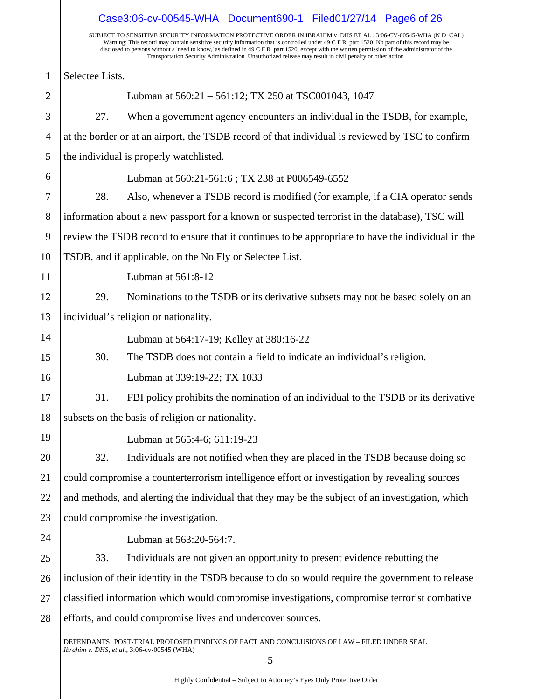|                | Case3:06-cv-00545-WHA Document690-1 Filed01/27/14 Page6 of 26                                                                                                                                                                                                                                                                                                                                                                                                                                                             |
|----------------|---------------------------------------------------------------------------------------------------------------------------------------------------------------------------------------------------------------------------------------------------------------------------------------------------------------------------------------------------------------------------------------------------------------------------------------------------------------------------------------------------------------------------|
|                | SUBJECT TO SENSITIVE SECURITY INFORMATION PROTECTIVE ORDER IN IBRAHIM v DHS ET AL, 3:06-CV-00545-WHA (N D CAL)<br>Warning: This record may contain sensitive security information that is controlled under 49 C F R part 1520 No part of this record may be<br>disclosed to persons without a 'need to know,' as defined in 49 C F R part 1520, except with the written permission of the administrator of the<br>Transportation Security Administration Unauthorized release may result in civil penalty or other action |
| $\mathbf{1}$   | Selectee Lists.                                                                                                                                                                                                                                                                                                                                                                                                                                                                                                           |
| $\overline{2}$ | Lubman at 560:21 - 561:12; TX 250 at TSC001043, 1047                                                                                                                                                                                                                                                                                                                                                                                                                                                                      |
| 3              | 27.<br>When a government agency encounters an individual in the TSDB, for example,                                                                                                                                                                                                                                                                                                                                                                                                                                        |
| $\overline{4}$ | at the border or at an airport, the TSDB record of that individual is reviewed by TSC to confirm                                                                                                                                                                                                                                                                                                                                                                                                                          |
| 5              | the individual is properly watchlisted.                                                                                                                                                                                                                                                                                                                                                                                                                                                                                   |
| 6              | Lubman at 560:21-561:6; TX 238 at P006549-6552                                                                                                                                                                                                                                                                                                                                                                                                                                                                            |
| 7              | 28.<br>Also, whenever a TSDB record is modified (for example, if a CIA operator sends                                                                                                                                                                                                                                                                                                                                                                                                                                     |
| 8              | information about a new passport for a known or suspected terrorist in the database), TSC will                                                                                                                                                                                                                                                                                                                                                                                                                            |
| 9              | review the TSDB record to ensure that it continues to be appropriate to have the individual in the                                                                                                                                                                                                                                                                                                                                                                                                                        |
| 10             | TSDB, and if applicable, on the No Fly or Selectee List.                                                                                                                                                                                                                                                                                                                                                                                                                                                                  |
| 11             | Lubman at 561:8-12                                                                                                                                                                                                                                                                                                                                                                                                                                                                                                        |
| 12             | 29.<br>Nominations to the TSDB or its derivative subsets may not be based solely on an                                                                                                                                                                                                                                                                                                                                                                                                                                    |
| 13             | individual's religion or nationality.                                                                                                                                                                                                                                                                                                                                                                                                                                                                                     |
| 14             | Lubman at 564:17-19; Kelley at 380:16-22                                                                                                                                                                                                                                                                                                                                                                                                                                                                                  |
| 15             | 30.<br>The TSDB does not contain a field to indicate an individual's religion.                                                                                                                                                                                                                                                                                                                                                                                                                                            |
| 16             | Lubman at 339:19-22; TX 1033                                                                                                                                                                                                                                                                                                                                                                                                                                                                                              |
| 17             | FBI policy prohibits the nomination of an individual to the TSDB or its derivative<br>31.                                                                                                                                                                                                                                                                                                                                                                                                                                 |
| 18             | subsets on the basis of religion or nationality.                                                                                                                                                                                                                                                                                                                                                                                                                                                                          |
| 19             | Lubman at 565:4-6; 611:19-23                                                                                                                                                                                                                                                                                                                                                                                                                                                                                              |
| 20             | Individuals are not notified when they are placed in the TSDB because doing so<br>32.                                                                                                                                                                                                                                                                                                                                                                                                                                     |
| 21             | could compromise a counterterrorism intelligence effort or investigation by revealing sources                                                                                                                                                                                                                                                                                                                                                                                                                             |
| 22             | and methods, and alerting the individual that they may be the subject of an investigation, which                                                                                                                                                                                                                                                                                                                                                                                                                          |
| 23             | could compromise the investigation.                                                                                                                                                                                                                                                                                                                                                                                                                                                                                       |
| 24             | Lubman at 563:20-564:7.                                                                                                                                                                                                                                                                                                                                                                                                                                                                                                   |
| 25             | 33.<br>Individuals are not given an opportunity to present evidence rebutting the                                                                                                                                                                                                                                                                                                                                                                                                                                         |
| 26             | inclusion of their identity in the TSDB because to do so would require the government to release                                                                                                                                                                                                                                                                                                                                                                                                                          |
| 27             | classified information which would compromise investigations, compromise terrorist combative                                                                                                                                                                                                                                                                                                                                                                                                                              |
| 28             | efforts, and could compromise lives and undercover sources.                                                                                                                                                                                                                                                                                                                                                                                                                                                               |
|                | DEFENDANTS' POST-TRIAL PROPOSED FINDINGS OF FACT AND CONCLUSIONS OF LAW - FILED UNDER SEAL<br>Ibrahim v. DHS, et al., 3:06-cv-00545 (WHA)                                                                                                                                                                                                                                                                                                                                                                                 |

5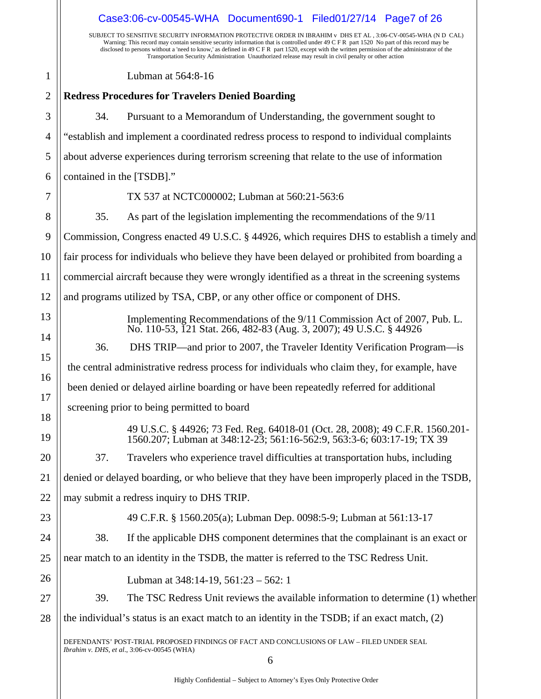| Case3:06-cv-00545-WHA Document690-1 Filed01/27/14 Page7 of 26                                                                                                                                                                                                                                                                                                                                                                                                                                                             |  |
|---------------------------------------------------------------------------------------------------------------------------------------------------------------------------------------------------------------------------------------------------------------------------------------------------------------------------------------------------------------------------------------------------------------------------------------------------------------------------------------------------------------------------|--|
| SUBJECT TO SENSITIVE SECURITY INFORMATION PROTECTIVE ORDER IN IBRAHIM v DHS ET AL, 3:06-CV-00545-WHA (N D CAL)<br>Warning: This record may contain sensitive security information that is controlled under 49 C F R part 1520 No part of this record may be<br>disclosed to persons without a 'need to know,' as defined in 49 C F R part 1520, except with the written permission of the administrator of the<br>Transportation Security Administration Unauthorized release may result in civil penalty or other action |  |
| Lubman at 564:8-16                                                                                                                                                                                                                                                                                                                                                                                                                                                                                                        |  |
| <b>Redress Procedures for Travelers Denied Boarding</b>                                                                                                                                                                                                                                                                                                                                                                                                                                                                   |  |
| Pursuant to a Memorandum of Understanding, the government sought to<br>34.                                                                                                                                                                                                                                                                                                                                                                                                                                                |  |
| "establish and implement a coordinated redress process to respond to individual complaints                                                                                                                                                                                                                                                                                                                                                                                                                                |  |
| about adverse experiences during terrorism screening that relate to the use of information                                                                                                                                                                                                                                                                                                                                                                                                                                |  |
| contained in the [TSDB]."                                                                                                                                                                                                                                                                                                                                                                                                                                                                                                 |  |
| TX 537 at NCTC000002; Lubman at 560:21-563:6                                                                                                                                                                                                                                                                                                                                                                                                                                                                              |  |
| 35.<br>As part of the legislation implementing the recommendations of the 9/11                                                                                                                                                                                                                                                                                                                                                                                                                                            |  |
| Commission, Congress enacted 49 U.S.C. § 44926, which requires DHS to establish a timely and                                                                                                                                                                                                                                                                                                                                                                                                                              |  |
| fair process for individuals who believe they have been delayed or prohibited from boarding a                                                                                                                                                                                                                                                                                                                                                                                                                             |  |
| commercial aircraft because they were wrongly identified as a threat in the screening systems                                                                                                                                                                                                                                                                                                                                                                                                                             |  |
| and programs utilized by TSA, CBP, or any other office or component of DHS.                                                                                                                                                                                                                                                                                                                                                                                                                                               |  |
| Implementing Recommendations of the 9/11 Commission Act of 2007, Pub. L.<br>No. 110-53, 121 Stat. 266, 482-83 (Aug. 3, 2007); 49 U.S.C. § 44926                                                                                                                                                                                                                                                                                                                                                                           |  |
| DHS TRIP—and prior to 2007, the Traveler Identity Verification Program—is<br>36.                                                                                                                                                                                                                                                                                                                                                                                                                                          |  |
| the central administrative redress process for individuals who claim they, for example, have                                                                                                                                                                                                                                                                                                                                                                                                                              |  |
| been denied or delayed airline boarding or have been repeatedly referred for additional                                                                                                                                                                                                                                                                                                                                                                                                                                   |  |
| screening prior to being permitted to board                                                                                                                                                                                                                                                                                                                                                                                                                                                                               |  |
| 49 U.S.C. § 44926; 73 Fed. Reg. 64018-01 (Oct. 28, 2008); 49 C.F.R. 1560.201-<br>1560.207; Lubman at 348:12-23; 561:16-562:9, 563:3-6; 603:17-19; TX 39                                                                                                                                                                                                                                                                                                                                                                   |  |
| 37.<br>Travelers who experience travel difficulties at transportation hubs, including                                                                                                                                                                                                                                                                                                                                                                                                                                     |  |
| denied or delayed boarding, or who believe that they have been improperly placed in the TSDB,                                                                                                                                                                                                                                                                                                                                                                                                                             |  |
| may submit a redress inquiry to DHS TRIP.                                                                                                                                                                                                                                                                                                                                                                                                                                                                                 |  |
| 49 C.F.R. § 1560.205(a); Lubman Dep. 0098:5-9; Lubman at 561:13-17                                                                                                                                                                                                                                                                                                                                                                                                                                                        |  |
| If the applicable DHS component determines that the complainant is an exact or<br>38.                                                                                                                                                                                                                                                                                                                                                                                                                                     |  |
| near match to an identity in the TSDB, the matter is referred to the TSC Redress Unit.                                                                                                                                                                                                                                                                                                                                                                                                                                    |  |
| Lubman at $348:14-19$ , $561:23-562:1$                                                                                                                                                                                                                                                                                                                                                                                                                                                                                    |  |
| 39.<br>The TSC Redress Unit reviews the available information to determine (1) whether                                                                                                                                                                                                                                                                                                                                                                                                                                    |  |
| the individual's status is an exact match to an identity in the TSDB; if an exact match, $(2)$                                                                                                                                                                                                                                                                                                                                                                                                                            |  |
| DEFENDANTS' POST-TRIAL PROPOSED FINDINGS OF FACT AND CONCLUSIONS OF LAW - FILED UNDER SEAL<br>Ibrahim v. DHS, et al., 3:06-cv-00545 (WHA)<br>6                                                                                                                                                                                                                                                                                                                                                                            |  |
|                                                                                                                                                                                                                                                                                                                                                                                                                                                                                                                           |  |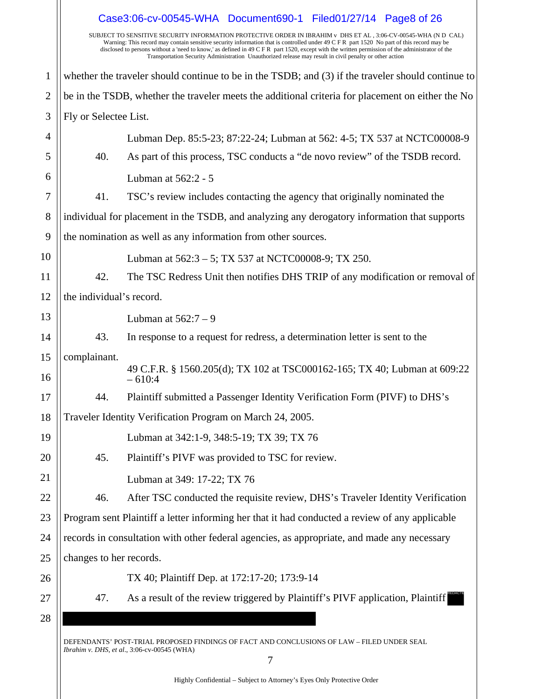|                                                                                                    | Case3:06-cv-00545-WHA Document690-1 Filed01/27/14 Page8 of 26                                                                                                                                                                                                                                                                                                                                                                                                                                                             |  |
|----------------------------------------------------------------------------------------------------|---------------------------------------------------------------------------------------------------------------------------------------------------------------------------------------------------------------------------------------------------------------------------------------------------------------------------------------------------------------------------------------------------------------------------------------------------------------------------------------------------------------------------|--|
|                                                                                                    | SUBJECT TO SENSITIVE SECURITY INFORMATION PROTECTIVE ORDER IN IBRAHIM v DHS ET AL, 3:06-CV-00545-WHA (N D CAL)<br>Warning: This record may contain sensitive security information that is controlled under 49 C F R part 1520 No part of this record may be<br>disclosed to persons without a 'need to know,' as defined in 49 C F R part 1520, except with the written permission of the administrator of the<br>Transportation Security Administration Unauthorized release may result in civil penalty or other action |  |
| whether the traveler should continue to be in the TSDB; and (3) if the traveler should continue to |                                                                                                                                                                                                                                                                                                                                                                                                                                                                                                                           |  |
|                                                                                                    | be in the TSDB, whether the traveler meets the additional criteria for placement on either the No                                                                                                                                                                                                                                                                                                                                                                                                                         |  |
| Fly or Selectee List.                                                                              |                                                                                                                                                                                                                                                                                                                                                                                                                                                                                                                           |  |
|                                                                                                    | Lubman Dep. 85:5-23; 87:22-24; Lubman at 562: 4-5; TX 537 at NCTC00008-9                                                                                                                                                                                                                                                                                                                                                                                                                                                  |  |
| 40.                                                                                                | As part of this process, TSC conducts a "de novo review" of the TSDB record.                                                                                                                                                                                                                                                                                                                                                                                                                                              |  |
|                                                                                                    | Lubman at 562:2 - 5                                                                                                                                                                                                                                                                                                                                                                                                                                                                                                       |  |
| 41.                                                                                                | TSC's review includes contacting the agency that originally nominated the                                                                                                                                                                                                                                                                                                                                                                                                                                                 |  |
|                                                                                                    | individual for placement in the TSDB, and analyzing any derogatory information that supports                                                                                                                                                                                                                                                                                                                                                                                                                              |  |
|                                                                                                    | the nomination as well as any information from other sources.                                                                                                                                                                                                                                                                                                                                                                                                                                                             |  |
|                                                                                                    | Lubman at 562:3 – 5; TX 537 at NCTC00008-9; TX 250.                                                                                                                                                                                                                                                                                                                                                                                                                                                                       |  |
| 42.                                                                                                | The TSC Redress Unit then notifies DHS TRIP of any modification or removal of                                                                                                                                                                                                                                                                                                                                                                                                                                             |  |
| the individual's record.                                                                           |                                                                                                                                                                                                                                                                                                                                                                                                                                                                                                                           |  |
|                                                                                                    | Lubman at $562:7-9$                                                                                                                                                                                                                                                                                                                                                                                                                                                                                                       |  |
| 43.                                                                                                | In response to a request for redress, a determination letter is sent to the                                                                                                                                                                                                                                                                                                                                                                                                                                               |  |
| complainant.                                                                                       | 49 C.F.R. § 1560.205(d); TX 102 at TSC000162-165; TX 40; Lubman at 609:22                                                                                                                                                                                                                                                                                                                                                                                                                                                 |  |
|                                                                                                    | $-610:4$                                                                                                                                                                                                                                                                                                                                                                                                                                                                                                                  |  |
| 44.                                                                                                | Plaintiff submitted a Passenger Identity Verification Form (PIVF) to DHS's                                                                                                                                                                                                                                                                                                                                                                                                                                                |  |
|                                                                                                    | Traveler Identity Verification Program on March 24, 2005.                                                                                                                                                                                                                                                                                                                                                                                                                                                                 |  |
|                                                                                                    | Lubman at 342:1-9, 348:5-19; TX 39; TX 76                                                                                                                                                                                                                                                                                                                                                                                                                                                                                 |  |
| 45.                                                                                                | Plaintiff's PIVF was provided to TSC for review.                                                                                                                                                                                                                                                                                                                                                                                                                                                                          |  |
|                                                                                                    | Lubman at 349: 17-22; TX 76                                                                                                                                                                                                                                                                                                                                                                                                                                                                                               |  |
| 46.                                                                                                | After TSC conducted the requisite review, DHS's Traveler Identity Verification                                                                                                                                                                                                                                                                                                                                                                                                                                            |  |
| Program sent Plaintiff a letter informing her that it had conducted a review of any applicable     |                                                                                                                                                                                                                                                                                                                                                                                                                                                                                                                           |  |
| records in consultation with other federal agencies, as appropriate, and made any necessary        |                                                                                                                                                                                                                                                                                                                                                                                                                                                                                                                           |  |
| changes to her records.                                                                            |                                                                                                                                                                                                                                                                                                                                                                                                                                                                                                                           |  |
|                                                                                                    | TX 40; Plaintiff Dep. at 172:17-20; 173:9-14                                                                                                                                                                                                                                                                                                                                                                                                                                                                              |  |
| 47.                                                                                                | As a result of the review triggered by Plaintiff's PIVF application, Plaintiff                                                                                                                                                                                                                                                                                                                                                                                                                                            |  |
|                                                                                                    |                                                                                                                                                                                                                                                                                                                                                                                                                                                                                                                           |  |
|                                                                                                    | DEFENDANTS' POST-TRIAL PROPOSED FINDINGS OF FACT AND CONCLUSIONS OF LAW - FILED UNDER SEAL<br>Ibrahim v. DHS, et al., 3:06-cv-00545 (WHA)<br>7                                                                                                                                                                                                                                                                                                                                                                            |  |
|                                                                                                    |                                                                                                                                                                                                                                                                                                                                                                                                                                                                                                                           |  |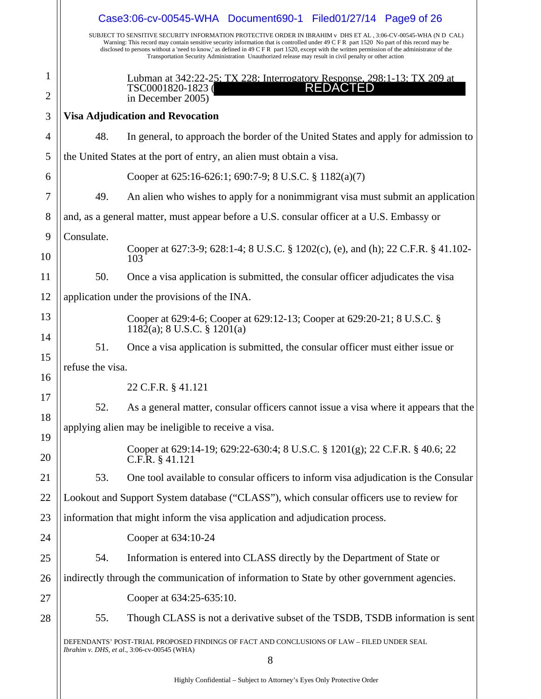|                |                                                                                                                                           | Case3:06-cv-00545-WHA Document690-1 Filed01/27/14 Page9 of 26                                                                                                                                                                                                                                                                                                                                                                                                                                                             |
|----------------|-------------------------------------------------------------------------------------------------------------------------------------------|---------------------------------------------------------------------------------------------------------------------------------------------------------------------------------------------------------------------------------------------------------------------------------------------------------------------------------------------------------------------------------------------------------------------------------------------------------------------------------------------------------------------------|
|                |                                                                                                                                           | SUBJECT TO SENSITIVE SECURITY INFORMATION PROTECTIVE ORDER IN IBRAHIM v DHS ET AL, 3:06-CV-00545-WHA (N D CAL)<br>Warning: This record may contain sensitive security information that is controlled under 49 C F R part 1520 No part of this record may be<br>disclosed to persons without a 'need to know,' as defined in 49 C F R part 1520, except with the written permission of the administrator of the<br>Transportation Security Administration Unauthorized release may result in civil penalty or other action |
| 1              |                                                                                                                                           | Lubman at 342:22-25: TX 228: Interrogatory Response, 298:1-13: TX 209 at TSC0001820-1823<br>TSC0001820-1823 (                                                                                                                                                                                                                                                                                                                                                                                                             |
| $\overline{2}$ |                                                                                                                                           | in December 2005)                                                                                                                                                                                                                                                                                                                                                                                                                                                                                                         |
| 3              |                                                                                                                                           | <b>Visa Adjudication and Revocation</b>                                                                                                                                                                                                                                                                                                                                                                                                                                                                                   |
| 4              | 48.                                                                                                                                       | In general, to approach the border of the United States and apply for admission to                                                                                                                                                                                                                                                                                                                                                                                                                                        |
| 5              |                                                                                                                                           | the United States at the port of entry, an alien must obtain a visa.                                                                                                                                                                                                                                                                                                                                                                                                                                                      |
| 6              |                                                                                                                                           | Cooper at 625:16-626:1; 690:7-9; 8 U.S.C. § 1182(a)(7)                                                                                                                                                                                                                                                                                                                                                                                                                                                                    |
| 7              | 49.                                                                                                                                       | An alien who wishes to apply for a nonimmigrant visa must submit an application                                                                                                                                                                                                                                                                                                                                                                                                                                           |
| 8              |                                                                                                                                           | and, as a general matter, must appear before a U.S. consular officer at a U.S. Embassy or                                                                                                                                                                                                                                                                                                                                                                                                                                 |
| 9              | Consulate.                                                                                                                                |                                                                                                                                                                                                                                                                                                                                                                                                                                                                                                                           |
| 10             |                                                                                                                                           | Cooper at 627:3-9; 628:1-4; 8 U.S.C. § 1202(c), (e), and (h); 22 C.F.R. § 41.102-<br>103                                                                                                                                                                                                                                                                                                                                                                                                                                  |
| 11             | 50.                                                                                                                                       | Once a visa application is submitted, the consular officer adjudicates the visa                                                                                                                                                                                                                                                                                                                                                                                                                                           |
| 12             |                                                                                                                                           | application under the provisions of the INA.                                                                                                                                                                                                                                                                                                                                                                                                                                                                              |
| 13             |                                                                                                                                           | Cooper at 629:4-6; Cooper at 629:12-13; Cooper at 629:20-21; 8 U.S.C. §<br>$1182(a)$ ; 8 U.S.C. § 1201(a)                                                                                                                                                                                                                                                                                                                                                                                                                 |
| 14             | 51.                                                                                                                                       | Once a visa application is submitted, the consular officer must either issue or                                                                                                                                                                                                                                                                                                                                                                                                                                           |
| 15             | refuse the visa.                                                                                                                          |                                                                                                                                                                                                                                                                                                                                                                                                                                                                                                                           |
| 16             |                                                                                                                                           | 22 C.F.R. § 41.121                                                                                                                                                                                                                                                                                                                                                                                                                                                                                                        |
| 17             | 52.                                                                                                                                       | As a general matter, consular officers cannot issue a visa where it appears that the                                                                                                                                                                                                                                                                                                                                                                                                                                      |
| 18             |                                                                                                                                           | applying alien may be ineligible to receive a visa.                                                                                                                                                                                                                                                                                                                                                                                                                                                                       |
| 19<br>20       |                                                                                                                                           | Cooper at 629:14-19; 629:22-630:4; 8 U.S.C. § 1201(g); 22 C.F.R. § 40.6; 22<br>C.F.R. $§$ 41.121                                                                                                                                                                                                                                                                                                                                                                                                                          |
| 21             | 53.                                                                                                                                       | One tool available to consular officers to inform visa adjudication is the Consular                                                                                                                                                                                                                                                                                                                                                                                                                                       |
| 22             |                                                                                                                                           | Lookout and Support System database ("CLASS"), which consular officers use to review for                                                                                                                                                                                                                                                                                                                                                                                                                                  |
| 23             | information that might inform the visa application and adjudication process.                                                              |                                                                                                                                                                                                                                                                                                                                                                                                                                                                                                                           |
| 24             |                                                                                                                                           | Cooper at 634:10-24                                                                                                                                                                                                                                                                                                                                                                                                                                                                                                       |
| 25             | 54.                                                                                                                                       | Information is entered into CLASS directly by the Department of State or                                                                                                                                                                                                                                                                                                                                                                                                                                                  |
| 26             |                                                                                                                                           | indirectly through the communication of information to State by other government agencies.                                                                                                                                                                                                                                                                                                                                                                                                                                |
| 27             |                                                                                                                                           | Cooper at 634:25-635:10.                                                                                                                                                                                                                                                                                                                                                                                                                                                                                                  |
| 28             | 55.                                                                                                                                       | Though CLASS is not a derivative subset of the TSDB, TSDB information is sent                                                                                                                                                                                                                                                                                                                                                                                                                                             |
|                | DEFENDANTS' POST-TRIAL PROPOSED FINDINGS OF FACT AND CONCLUSIONS OF LAW - FILED UNDER SEAL<br>Ibrahim v. DHS, et al., 3:06-cv-00545 (WHA) |                                                                                                                                                                                                                                                                                                                                                                                                                                                                                                                           |
|                |                                                                                                                                           | 8                                                                                                                                                                                                                                                                                                                                                                                                                                                                                                                         |

Highly Confidential – Subject to Attorney's Eyes Only Protective Order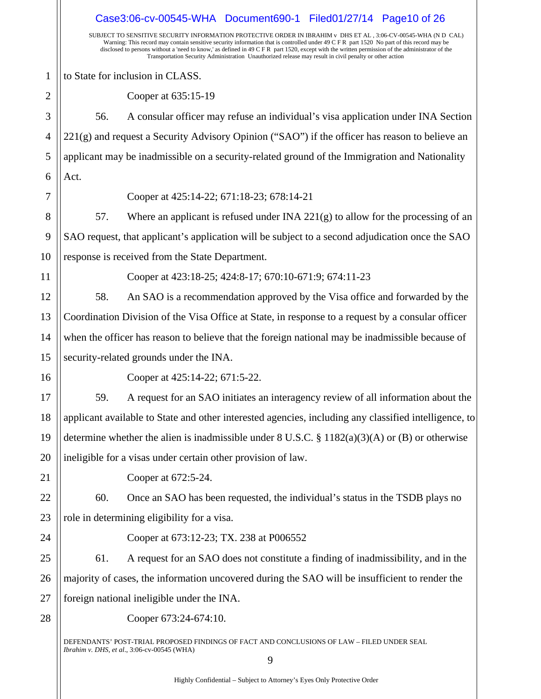SUBJECT TO SENSITIVE SECURITY INFORMATION PROTECTIVE ORDER IN IBRAHIM v DHS ET AL , 3:06-CV-00545-WHA (N D CAL) Warning: This record may contain sensitive security information that is controlled under 49 C F R part 1520 No part of this record may be disclosed to persons without a 'need to know,' as defined in 49 C F R part 1520, except with the written permission of the administrator of the Transportation Security Administration Unauthorized release may result in civil penalty or other action DEFENDANTS' POST-TRIAL PROPOSED FINDINGS OF FACT AND CONCLUSIONS OF LAW – FILED UNDER SEAL *Ibrahim v. DHS*, *et al*., 3:06-cv-00545 (WHA) 1 2 3 4 5 6 7 8 9 10 11 12 13 14 15 16 17 18 19 20 21 22 23 24 25 26 27 28 to State for inclusion in CLASS. Cooper at 635:15-19 56. A consular officer may refuse an individual's visa application under INA Section  $221(g)$  and request a Security Advisory Opinion ("SAO") if the officer has reason to believe an applicant may be inadmissible on a security-related ground of the Immigration and Nationality Act. Cooper at 425:14-22; 671:18-23; 678:14-21 57. Where an applicant is refused under INA 221(g) to allow for the processing of an SAO request, that applicant's application will be subject to a second adjudication once the SAO response is received from the State Department. Cooper at 423:18-25; 424:8-17; 670:10-671:9; 674:11-23 58. An SAO is a recommendation approved by the Visa office and forwarded by the Coordination Division of the Visa Office at State, in response to a request by a consular officer when the officer has reason to believe that the foreign national may be inadmissible because of security-related grounds under the INA. Cooper at 425:14-22; 671:5-22. 59. A request for an SAO initiates an interagency review of all information about the applicant available to State and other interested agencies, including any classified intelligence, to determine whether the alien is inadmissible under  $8 \text{ U.S.C.} \$   $\frac{8}{182(a)(3)(\text{A})}$  or (B) or otherwise ineligible for a visas under certain other provision of law. Cooper at 672:5-24. 60. Once an SAO has been requested, the individual's status in the TSDB plays no role in determining eligibility for a visa. Cooper at 673:12-23; TX. 238 at P006552 61. A request for an SAO does not constitute a finding of inadmissibility, and in the majority of cases, the information uncovered during the SAO will be insufficient to render the foreign national ineligible under the INA. Cooper 673:24-674:10. Case3:06-cv-00545-WHA Document690-1 Filed01/27/14 Page10 of 26

9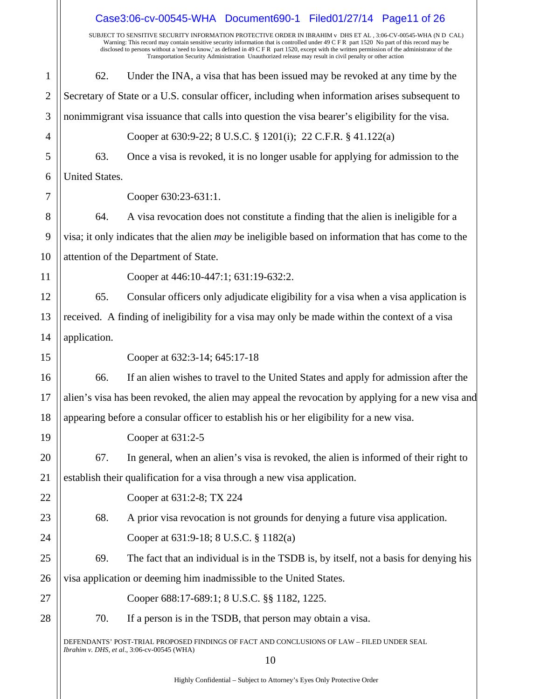|                |                                                                                                   | Case3:06-cv-00545-WHA Document690-1 Filed01/27/14 Page11 of 26                                                                                                                                                                                                                                                                                                                                                                                                                                                            |
|----------------|---------------------------------------------------------------------------------------------------|---------------------------------------------------------------------------------------------------------------------------------------------------------------------------------------------------------------------------------------------------------------------------------------------------------------------------------------------------------------------------------------------------------------------------------------------------------------------------------------------------------------------------|
|                |                                                                                                   | SUBJECT TO SENSITIVE SECURITY INFORMATION PROTECTIVE ORDER IN IBRAHIM v DHS ET AL, 3:06-CV-00545-WHA (N D CAL)<br>Warning: This record may contain sensitive security information that is controlled under 49 C F R part 1520 No part of this record may be<br>disclosed to persons without a 'need to know,' as defined in 49 C F R part 1520, except with the written permission of the administrator of the<br>Transportation Security Administration Unauthorized release may result in civil penalty or other action |
| $\mathbf{1}$   | 62.                                                                                               | Under the INA, a visa that has been issued may be revoked at any time by the                                                                                                                                                                                                                                                                                                                                                                                                                                              |
| $\overline{2}$ |                                                                                                   | Secretary of State or a U.S. consular officer, including when information arises subsequent to                                                                                                                                                                                                                                                                                                                                                                                                                            |
| 3              |                                                                                                   | nonimmigrant visa issuance that calls into question the visa bearer's eligibility for the visa.                                                                                                                                                                                                                                                                                                                                                                                                                           |
| 4              |                                                                                                   | Cooper at 630:9-22; 8 U.S.C. § 1201(i); 22 C.F.R. § 41.122(a)                                                                                                                                                                                                                                                                                                                                                                                                                                                             |
| 5              | 63.                                                                                               | Once a visa is revoked, it is no longer usable for applying for admission to the                                                                                                                                                                                                                                                                                                                                                                                                                                          |
| 6              | <b>United States.</b>                                                                             |                                                                                                                                                                                                                                                                                                                                                                                                                                                                                                                           |
| 7              |                                                                                                   | Cooper 630:23-631:1.                                                                                                                                                                                                                                                                                                                                                                                                                                                                                                      |
| 8              | 64.                                                                                               | A visa revocation does not constitute a finding that the alien is ineligible for a                                                                                                                                                                                                                                                                                                                                                                                                                                        |
| 9              |                                                                                                   | visa; it only indicates that the alien may be ineligible based on information that has come to the                                                                                                                                                                                                                                                                                                                                                                                                                        |
| 10             |                                                                                                   | attention of the Department of State.                                                                                                                                                                                                                                                                                                                                                                                                                                                                                     |
| 11             |                                                                                                   | Cooper at 446:10-447:1; 631:19-632:2.                                                                                                                                                                                                                                                                                                                                                                                                                                                                                     |
| 12             | 65.                                                                                               | Consular officers only adjudicate eligibility for a visa when a visa application is                                                                                                                                                                                                                                                                                                                                                                                                                                       |
| 13             |                                                                                                   | received. A finding of ineligibility for a visa may only be made within the context of a visa                                                                                                                                                                                                                                                                                                                                                                                                                             |
| 14             | application.                                                                                      |                                                                                                                                                                                                                                                                                                                                                                                                                                                                                                                           |
| 15             |                                                                                                   | Cooper at 632:3-14; 645:17-18                                                                                                                                                                                                                                                                                                                                                                                                                                                                                             |
| 16             | 66.                                                                                               | If an alien wishes to travel to the United States and apply for admission after the                                                                                                                                                                                                                                                                                                                                                                                                                                       |
| 17             | alien's visa has been revoked, the alien may appeal the revocation by applying for a new visa and |                                                                                                                                                                                                                                                                                                                                                                                                                                                                                                                           |
| 18             |                                                                                                   | appearing before a consular officer to establish his or her eligibility for a new visa.                                                                                                                                                                                                                                                                                                                                                                                                                                   |
| 19             |                                                                                                   | Cooper at 631:2-5                                                                                                                                                                                                                                                                                                                                                                                                                                                                                                         |
| 20             | 67.                                                                                               | In general, when an alien's visa is revoked, the alien is informed of their right to                                                                                                                                                                                                                                                                                                                                                                                                                                      |
| 21             |                                                                                                   | establish their qualification for a visa through a new visa application.                                                                                                                                                                                                                                                                                                                                                                                                                                                  |
| 22             |                                                                                                   | Cooper at 631:2-8; TX 224                                                                                                                                                                                                                                                                                                                                                                                                                                                                                                 |
| 23             | 68.                                                                                               | A prior visa revocation is not grounds for denying a future visa application.                                                                                                                                                                                                                                                                                                                                                                                                                                             |
| 24             |                                                                                                   | Cooper at 631:9-18; 8 U.S.C. § 1182(a)                                                                                                                                                                                                                                                                                                                                                                                                                                                                                    |
| 25             | 69.                                                                                               | The fact that an individual is in the TSDB is, by itself, not a basis for denying his                                                                                                                                                                                                                                                                                                                                                                                                                                     |
| 26             | visa application or deeming him inadmissible to the United States.                                |                                                                                                                                                                                                                                                                                                                                                                                                                                                                                                                           |
| 27             |                                                                                                   | Cooper 688:17-689:1; 8 U.S.C. §§ 1182, 1225.                                                                                                                                                                                                                                                                                                                                                                                                                                                                              |
| 28             | 70.                                                                                               | If a person is in the TSDB, that person may obtain a visa.                                                                                                                                                                                                                                                                                                                                                                                                                                                                |
|                |                                                                                                   | DEFENDANTS' POST-TRIAL PROPOSED FINDINGS OF FACT AND CONCLUSIONS OF LAW - FILED UNDER SEAL<br><i>Ibrahim v. DHS, et al., 3:06-cv-00545 (WHA)</i><br>10                                                                                                                                                                                                                                                                                                                                                                    |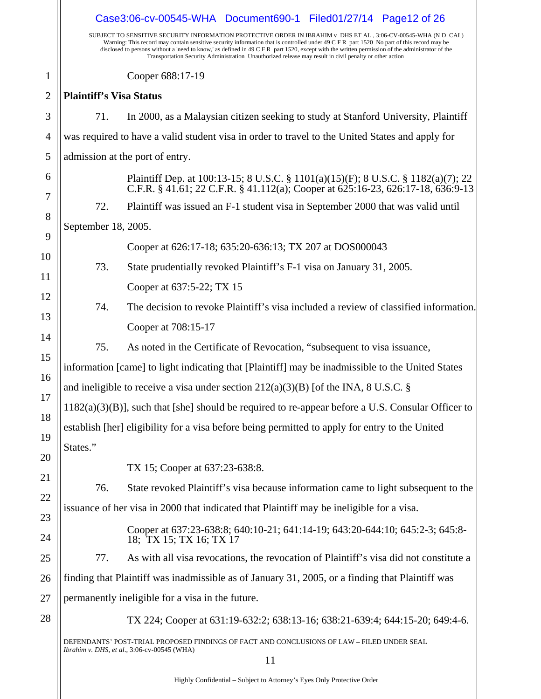|                | Case3:06-cv-00545-WHA Document690-1 Filed01/27/14 Page12 of 26 |                                                                                                                                                                                                                                                                                                                                                                                                                                                                                                                           |  |  |
|----------------|----------------------------------------------------------------|---------------------------------------------------------------------------------------------------------------------------------------------------------------------------------------------------------------------------------------------------------------------------------------------------------------------------------------------------------------------------------------------------------------------------------------------------------------------------------------------------------------------------|--|--|
|                |                                                                | SUBJECT TO SENSITIVE SECURITY INFORMATION PROTECTIVE ORDER IN IBRAHIM v DHS ET AL, 3:06-CV-00545-WHA (N D CAL)<br>Warning: This record may contain sensitive security information that is controlled under 49 C F R part 1520 No part of this record may be<br>disclosed to persons without a 'need to know,' as defined in 49 C F R part 1520, except with the written permission of the administrator of the<br>Transportation Security Administration Unauthorized release may result in civil penalty or other action |  |  |
| $\mathbf{1}$   |                                                                | Cooper 688:17-19                                                                                                                                                                                                                                                                                                                                                                                                                                                                                                          |  |  |
| $\overline{2}$ | <b>Plaintiff's Visa Status</b>                                 |                                                                                                                                                                                                                                                                                                                                                                                                                                                                                                                           |  |  |
| 3              | 71.                                                            | In 2000, as a Malaysian citizen seeking to study at Stanford University, Plaintiff                                                                                                                                                                                                                                                                                                                                                                                                                                        |  |  |
| 4              |                                                                | was required to have a valid student visa in order to travel to the United States and apply for                                                                                                                                                                                                                                                                                                                                                                                                                           |  |  |
| 5              |                                                                | admission at the port of entry.                                                                                                                                                                                                                                                                                                                                                                                                                                                                                           |  |  |
| 6<br>7         |                                                                | Plaintiff Dep. at 100:13-15; 8 U.S.C. § 1101(a)(15)(F); 8 U.S.C. § 1182(a)(7); 22 C.F.R. § 41.61; 22 C.F.R. § 41.112(a); Cooper at 625:16-23, 626:17-18, 636:9-13                                                                                                                                                                                                                                                                                                                                                         |  |  |
| 8              | 72.                                                            | Plaintiff was issued an F-1 student visa in September 2000 that was valid until                                                                                                                                                                                                                                                                                                                                                                                                                                           |  |  |
| 9              | September 18, 2005.                                            |                                                                                                                                                                                                                                                                                                                                                                                                                                                                                                                           |  |  |
| 10             |                                                                | Cooper at 626:17-18; 635:20-636:13; TX 207 at DOS000043                                                                                                                                                                                                                                                                                                                                                                                                                                                                   |  |  |
| 11             | 73.                                                            | State prudentially revoked Plaintiff's F-1 visa on January 31, 2005.                                                                                                                                                                                                                                                                                                                                                                                                                                                      |  |  |
| 12             |                                                                | Cooper at 637:5-22; TX 15                                                                                                                                                                                                                                                                                                                                                                                                                                                                                                 |  |  |
| 13             | 74.                                                            | The decision to revoke Plaintiff's visa included a review of classified information.                                                                                                                                                                                                                                                                                                                                                                                                                                      |  |  |
| 14             |                                                                | Cooper at 708:15-17                                                                                                                                                                                                                                                                                                                                                                                                                                                                                                       |  |  |
| 15             | 75.                                                            | As noted in the Certificate of Revocation, "subsequent to visa issuance,                                                                                                                                                                                                                                                                                                                                                                                                                                                  |  |  |
| 16             |                                                                | information [came] to light indicating that [Plaintiff] may be inadmissible to the United States                                                                                                                                                                                                                                                                                                                                                                                                                          |  |  |
| 17             |                                                                | and ineligible to receive a visa under section $212(a)(3)(B)$ [of the INA, 8 U.S.C. §                                                                                                                                                                                                                                                                                                                                                                                                                                     |  |  |
| 18             |                                                                | $1182(a)(3)(B)$ ], such that [she] should be required to re-appear before a U.S. Consular Officer to                                                                                                                                                                                                                                                                                                                                                                                                                      |  |  |
| 19             |                                                                | establish [her] eligibility for a visa before being permitted to apply for entry to the United                                                                                                                                                                                                                                                                                                                                                                                                                            |  |  |
| 20             | States."                                                       |                                                                                                                                                                                                                                                                                                                                                                                                                                                                                                                           |  |  |
| 21             |                                                                | TX 15; Cooper at 637:23-638:8.                                                                                                                                                                                                                                                                                                                                                                                                                                                                                            |  |  |
| 22             | 76.                                                            | State revoked Plaintiff's visa because information came to light subsequent to the                                                                                                                                                                                                                                                                                                                                                                                                                                        |  |  |
| 23             |                                                                | issuance of her visa in 2000 that indicated that Plaintiff may be ineligible for a visa.                                                                                                                                                                                                                                                                                                                                                                                                                                  |  |  |
| 24             |                                                                | Cooper at 637:23-638:8; 640:10-21; 641:14-19; 643:20-644:10; 645:2-3; 645:8-<br>18; TX 15; TX 16; TX 17                                                                                                                                                                                                                                                                                                                                                                                                                   |  |  |
| 25             | 77.                                                            | As with all visa revocations, the revocation of Plaintiff's visa did not constitute a                                                                                                                                                                                                                                                                                                                                                                                                                                     |  |  |
| 26             |                                                                | finding that Plaintiff was inadmissible as of January 31, 2005, or a finding that Plaintiff was                                                                                                                                                                                                                                                                                                                                                                                                                           |  |  |
| 27             | permanently ineligible for a visa in the future.               |                                                                                                                                                                                                                                                                                                                                                                                                                                                                                                                           |  |  |
| 28             |                                                                | TX 224; Cooper at 631:19-632:2; 638:13-16; 638:21-639:4; 644:15-20; 649:4-6.                                                                                                                                                                                                                                                                                                                                                                                                                                              |  |  |
|                |                                                                | DEFENDANTS' POST-TRIAL PROPOSED FINDINGS OF FACT AND CONCLUSIONS OF LAW – FILED UNDER SEAL<br>Ibrahim v. DHS, et al., 3:06-cv-00545 (WHA)<br>11                                                                                                                                                                                                                                                                                                                                                                           |  |  |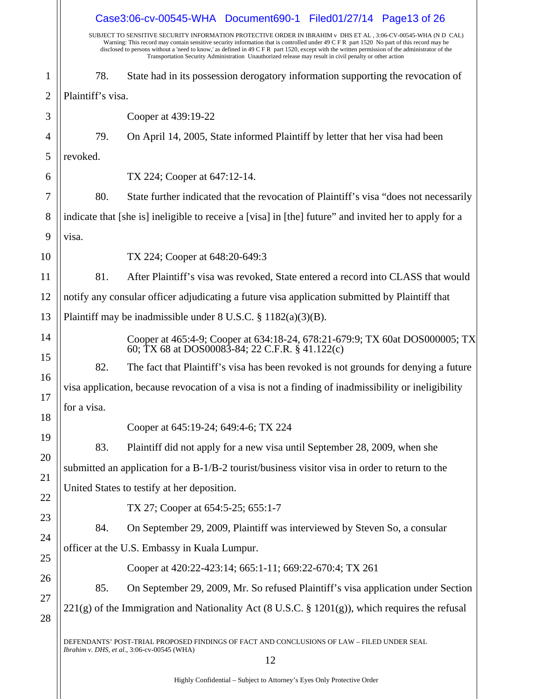|                                                                                                | Case3:06-cv-00545-WHA Document690-1 Filed01/27/14 Page13 of 26                                                                                                                                                                                                                                                                                                                                                                                                                                                           |
|------------------------------------------------------------------------------------------------|--------------------------------------------------------------------------------------------------------------------------------------------------------------------------------------------------------------------------------------------------------------------------------------------------------------------------------------------------------------------------------------------------------------------------------------------------------------------------------------------------------------------------|
|                                                                                                | SUBJECT TO SENSITIVE SECURITY INFORMATION PROTECTIVE ORDER IN IBRAHIM v DHS ET AL, 3:06-CV-00545-WHA (ND CAL)<br>Warning: This record may contain sensitive security information that is controlled under 49 C F R part 1520 No part of this record may be<br>disclosed to persons without a 'need to know,' as defined in 49 C F R part 1520, except with the written permission of the administrator of the<br>Transportation Security Administration Unauthorized release may result in civil penalty or other action |
| 78.                                                                                            | State had in its possession derogatory information supporting the revocation of                                                                                                                                                                                                                                                                                                                                                                                                                                          |
| Plaintiff's visa.                                                                              |                                                                                                                                                                                                                                                                                                                                                                                                                                                                                                                          |
|                                                                                                | Cooper at 439:19-22                                                                                                                                                                                                                                                                                                                                                                                                                                                                                                      |
| 79.                                                                                            | On April 14, 2005, State informed Plaintiff by letter that her visa had been                                                                                                                                                                                                                                                                                                                                                                                                                                             |
| revoked.                                                                                       |                                                                                                                                                                                                                                                                                                                                                                                                                                                                                                                          |
|                                                                                                | TX 224; Cooper at 647:12-14.                                                                                                                                                                                                                                                                                                                                                                                                                                                                                             |
| 80.                                                                                            | State further indicated that the revocation of Plaintiff's visa "does not necessarily                                                                                                                                                                                                                                                                                                                                                                                                                                    |
|                                                                                                | indicate that [she is] ineligible to receive a [visa] in [the] future" and invited her to apply for a                                                                                                                                                                                                                                                                                                                                                                                                                    |
| visa.                                                                                          |                                                                                                                                                                                                                                                                                                                                                                                                                                                                                                                          |
|                                                                                                | TX 224; Cooper at 648:20-649:3                                                                                                                                                                                                                                                                                                                                                                                                                                                                                           |
| 81.                                                                                            | After Plaintiff's visa was revoked, State entered a record into CLASS that would                                                                                                                                                                                                                                                                                                                                                                                                                                         |
| notify any consular officer adjudicating a future visa application submitted by Plaintiff that |                                                                                                                                                                                                                                                                                                                                                                                                                                                                                                                          |
|                                                                                                | Plaintiff may be inadmissible under $8 \text{ U.S.C. } § 1182(a)(3)(B)$ .                                                                                                                                                                                                                                                                                                                                                                                                                                                |
|                                                                                                | Cooper at 465:4-9; Cooper at 634:18-24, 678:21-679:9; TX 60at DOS000005; TX<br>60; TX 68 at DOS00083-84; 22 C.F.R. § 41.122(c)                                                                                                                                                                                                                                                                                                                                                                                           |
| 82.                                                                                            | The fact that Plaintiff's visa has been revoked is not grounds for denying a future                                                                                                                                                                                                                                                                                                                                                                                                                                      |
|                                                                                                | visa application, because revocation of a visa is not a finding of inadmissibility or ineligibility                                                                                                                                                                                                                                                                                                                                                                                                                      |
| for a visa.                                                                                    |                                                                                                                                                                                                                                                                                                                                                                                                                                                                                                                          |
|                                                                                                | Cooper at 645:19-24; 649:4-6; TX 224                                                                                                                                                                                                                                                                                                                                                                                                                                                                                     |
| 83.                                                                                            | Plaintiff did not apply for a new visa until September 28, 2009, when she                                                                                                                                                                                                                                                                                                                                                                                                                                                |
|                                                                                                | submitted an application for a B-1/B-2 tourist/business visitor visa in order to return to the                                                                                                                                                                                                                                                                                                                                                                                                                           |
|                                                                                                | United States to testify at her deposition.                                                                                                                                                                                                                                                                                                                                                                                                                                                                              |
|                                                                                                | TX 27; Cooper at 654:5-25; 655:1-7                                                                                                                                                                                                                                                                                                                                                                                                                                                                                       |
| 84.                                                                                            | On September 29, 2009, Plaintiff was interviewed by Steven So, a consular                                                                                                                                                                                                                                                                                                                                                                                                                                                |
| officer at the U.S. Embassy in Kuala Lumpur.                                                   |                                                                                                                                                                                                                                                                                                                                                                                                                                                                                                                          |
|                                                                                                | Cooper at 420:22-423:14; 665:1-11; 669:22-670:4; TX 261                                                                                                                                                                                                                                                                                                                                                                                                                                                                  |
| 85.                                                                                            | On September 29, 2009, Mr. So refused Plaintiff's visa application under Section                                                                                                                                                                                                                                                                                                                                                                                                                                         |
|                                                                                                | $221(g)$ of the Immigration and Nationality Act (8 U.S.C. § 1201(g)), which requires the refusal                                                                                                                                                                                                                                                                                                                                                                                                                         |
|                                                                                                | DEFENDANTS' POST-TRIAL PROPOSED FINDINGS OF FACT AND CONCLUSIONS OF LAW - FILED UNDER SEAL<br>Ibrahim v. DHS, et al., 3:06-cv-00545 (WHA)<br>12                                                                                                                                                                                                                                                                                                                                                                          |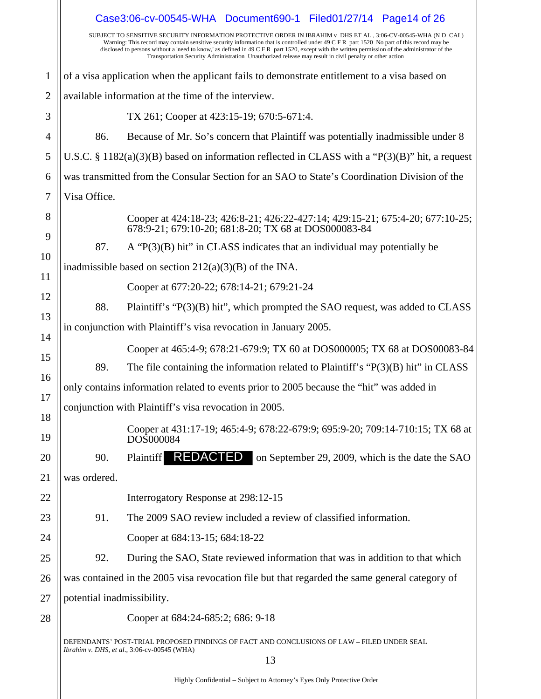|              |                            | Case3:06-cv-00545-WHA Document690-1 Filed01/27/14 Page14 of 26                                                                                                                                                                                                                                                                                                                                                                                                                                                            |
|--------------|----------------------------|---------------------------------------------------------------------------------------------------------------------------------------------------------------------------------------------------------------------------------------------------------------------------------------------------------------------------------------------------------------------------------------------------------------------------------------------------------------------------------------------------------------------------|
|              |                            | SUBJECT TO SENSITIVE SECURITY INFORMATION PROTECTIVE ORDER IN IBRAHIM v DHS ET AL, 3:06-CV-00545-WHA (N D CAL)<br>Warning: This record may contain sensitive security information that is controlled under 49 C F R part 1520 No part of this record may be<br>disclosed to persons without a 'need to know,' as defined in 49 C F R part 1520, except with the written permission of the administrator of the<br>Transportation Security Administration Unauthorized release may result in civil penalty or other action |
| $\mathbf{1}$ |                            | of a visa application when the applicant fails to demonstrate entitlement to a visa based on                                                                                                                                                                                                                                                                                                                                                                                                                              |
| 2            |                            | available information at the time of the interview.                                                                                                                                                                                                                                                                                                                                                                                                                                                                       |
| 3            |                            | TX 261; Cooper at 423:15-19; 670:5-671:4.                                                                                                                                                                                                                                                                                                                                                                                                                                                                                 |
| 4            | 86.                        | Because of Mr. So's concern that Plaintiff was potentially inadmissible under 8                                                                                                                                                                                                                                                                                                                                                                                                                                           |
| 5            |                            | U.S.C. § 1182(a)(3)(B) based on information reflected in CLASS with a " $P(3)(B)$ " hit, a request                                                                                                                                                                                                                                                                                                                                                                                                                        |
| 6            |                            | was transmitted from the Consular Section for an SAO to State's Coordination Division of the                                                                                                                                                                                                                                                                                                                                                                                                                              |
| 7            | Visa Office.               |                                                                                                                                                                                                                                                                                                                                                                                                                                                                                                                           |
| 8<br>9       |                            | Cooper at 424:18-23; 426:8-21; 426:22-427:14; 429:15-21; 675:4-20; 677:10-25;<br>678:9-21; 679:10-20; 681:8-20; TX 68 at DOS000083-84                                                                                                                                                                                                                                                                                                                                                                                     |
| 10           | 87.                        | A " $P(3)(B)$ hit" in CLASS indicates that an individual may potentially be                                                                                                                                                                                                                                                                                                                                                                                                                                               |
| 11           |                            | inadmissible based on section $212(a)(3)(B)$ of the INA.                                                                                                                                                                                                                                                                                                                                                                                                                                                                  |
| 12           |                            | Cooper at 677:20-22; 678:14-21; 679:21-24                                                                                                                                                                                                                                                                                                                                                                                                                                                                                 |
| 13           | 88.                        | Plaintiff's "P(3)(B) hit", which prompted the SAO request, was added to CLASS                                                                                                                                                                                                                                                                                                                                                                                                                                             |
| 14           |                            | in conjunction with Plaintiff's visa revocation in January 2005.                                                                                                                                                                                                                                                                                                                                                                                                                                                          |
| 15           |                            | Cooper at 465:4-9; 678:21-679:9; TX 60 at DOS000005; TX 68 at DOS00083-84                                                                                                                                                                                                                                                                                                                                                                                                                                                 |
| 16           | 89.                        | The file containing the information related to Plaintiff's " $P(3)(B)$ hit" in CLASS                                                                                                                                                                                                                                                                                                                                                                                                                                      |
| 17           |                            | only contains information related to events prior to 2005 because the "hit" was added in                                                                                                                                                                                                                                                                                                                                                                                                                                  |
| 18           |                            | conjunction with Plaintiff's visa revocation in 2005.                                                                                                                                                                                                                                                                                                                                                                                                                                                                     |
| 19           |                            | Cooper at 431:17-19; 465:4-9; 678:22-679:9; 695:9-20; 709:14-710:15; TX 68 at<br>DOS000084                                                                                                                                                                                                                                                                                                                                                                                                                                |
| 20           | 90.                        | Plaintiff <b>REDACTED</b> on September 29, 2009, which is the date the SAO                                                                                                                                                                                                                                                                                                                                                                                                                                                |
| 21           | was ordered.               |                                                                                                                                                                                                                                                                                                                                                                                                                                                                                                                           |
| 22           |                            | Interrogatory Response at 298:12-15                                                                                                                                                                                                                                                                                                                                                                                                                                                                                       |
| 23           | 91.                        | The 2009 SAO review included a review of classified information.                                                                                                                                                                                                                                                                                                                                                                                                                                                          |
| 24           |                            | Cooper at 684:13-15; 684:18-22                                                                                                                                                                                                                                                                                                                                                                                                                                                                                            |
| 25           | 92.                        | During the SAO, State reviewed information that was in addition to that which                                                                                                                                                                                                                                                                                                                                                                                                                                             |
| 26           |                            | was contained in the 2005 visa revocation file but that regarded the same general category of                                                                                                                                                                                                                                                                                                                                                                                                                             |
| 27           | potential inadmissibility. |                                                                                                                                                                                                                                                                                                                                                                                                                                                                                                                           |
| 28           |                            | Cooper at 684:24-685:2; 686: 9-18                                                                                                                                                                                                                                                                                                                                                                                                                                                                                         |
|              |                            | DEFENDANTS' POST-TRIAL PROPOSED FINDINGS OF FACT AND CONCLUSIONS OF LAW – FILED UNDER SEAL<br>Ibrahim v. DHS, et al., 3:06-cv-00545 (WHA)                                                                                                                                                                                                                                                                                                                                                                                 |
|              |                            | 13                                                                                                                                                                                                                                                                                                                                                                                                                                                                                                                        |
|              |                            |                                                                                                                                                                                                                                                                                                                                                                                                                                                                                                                           |

Highly Confidential – Subject to Attorney's Eyes Only Protective Order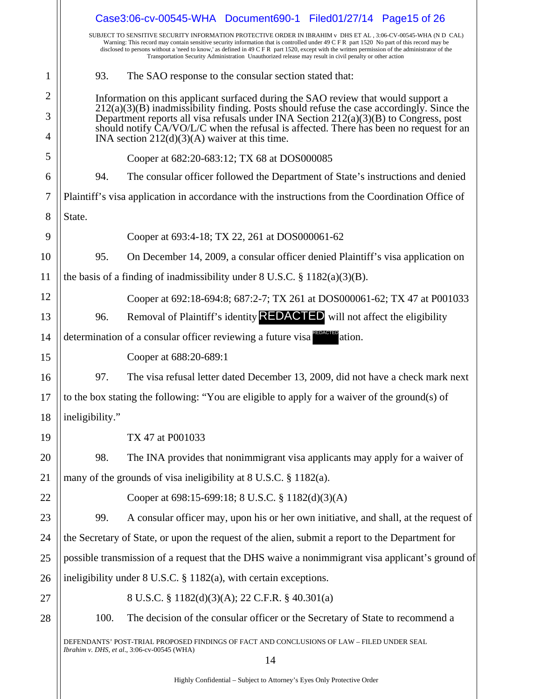|    |                 | Case3:06-cv-00545-WHA Document690-1 Filed01/27/14 Page15 of 26                                                                                                                                                                                                                                                                                                                                                                                                                                                            |
|----|-----------------|---------------------------------------------------------------------------------------------------------------------------------------------------------------------------------------------------------------------------------------------------------------------------------------------------------------------------------------------------------------------------------------------------------------------------------------------------------------------------------------------------------------------------|
|    |                 | SUBJECT TO SENSITIVE SECURITY INFORMATION PROTECTIVE ORDER IN IBRAHIM v DHS ET AL, 3:06-CV-00545-WHA (N D CAL)<br>Warning: This record may contain sensitive security information that is controlled under 49 C F R part 1520 No part of this record may be<br>disclosed to persons without a 'need to know,' as defined in 49 C F R part 1520, except with the written permission of the administrator of the<br>Transportation Security Administration Unauthorized release may result in civil penalty or other action |
| 1  | 93.             | The SAO response to the consular section stated that:                                                                                                                                                                                                                                                                                                                                                                                                                                                                     |
| 2  |                 | Information on this applicant surfaced during the SAO review that would support a                                                                                                                                                                                                                                                                                                                                                                                                                                         |
| 3  |                 | $212(a)(3)(B)$ inadmissibility finding. Posts should refuse the case accordingly. Since the<br>Department reports all visa refusals under INA Section $212(a)(3)(B)$ to Congress, post                                                                                                                                                                                                                                                                                                                                    |
| 4  |                 | should notify CA/VO/L/C when the refusal is affected. There has been no request for an<br>INA section $212(d)(3)(A)$ waiver at this time.                                                                                                                                                                                                                                                                                                                                                                                 |
| 5  |                 | Cooper at 682:20-683:12; TX 68 at DOS000085                                                                                                                                                                                                                                                                                                                                                                                                                                                                               |
| 6  | 94.             | The consular officer followed the Department of State's instructions and denied                                                                                                                                                                                                                                                                                                                                                                                                                                           |
| 7  |                 | Plaintiff's visa application in accordance with the instructions from the Coordination Office of                                                                                                                                                                                                                                                                                                                                                                                                                          |
| 8  | State.          |                                                                                                                                                                                                                                                                                                                                                                                                                                                                                                                           |
| 9  |                 | Cooper at 693:4-18; TX 22, 261 at DOS000061-62                                                                                                                                                                                                                                                                                                                                                                                                                                                                            |
| 10 | 95.             | On December 14, 2009, a consular officer denied Plaintiff's visa application on                                                                                                                                                                                                                                                                                                                                                                                                                                           |
| 11 |                 | the basis of a finding of inadmissibility under $8 \text{ U.S.C. } \frac{8}{9} \frac{1182(a)(3)(B)}{B}$ .                                                                                                                                                                                                                                                                                                                                                                                                                 |
| 12 |                 | Cooper at 692:18-694:8; 687:2-7; TX 261 at DOS000061-62; TX 47 at P001033                                                                                                                                                                                                                                                                                                                                                                                                                                                 |
| 13 | 96.             | Removal of Plaintiff's identity <b>REDACTED</b> will not affect the eligibility                                                                                                                                                                                                                                                                                                                                                                                                                                           |
| 14 |                 | determination of a consular officer reviewing a future visa<br>ation.                                                                                                                                                                                                                                                                                                                                                                                                                                                     |
| 15 |                 | Cooper at 688:20-689:1                                                                                                                                                                                                                                                                                                                                                                                                                                                                                                    |
| 16 | 97.             | The visa refusal letter dated December 13, 2009, did not have a check mark next                                                                                                                                                                                                                                                                                                                                                                                                                                           |
| 17 |                 | to the box stating the following: "You are eligible to apply for a waiver of the ground(s) of                                                                                                                                                                                                                                                                                                                                                                                                                             |
| 18 | ineligibility." |                                                                                                                                                                                                                                                                                                                                                                                                                                                                                                                           |
| 19 |                 | TX 47 at P001033                                                                                                                                                                                                                                                                                                                                                                                                                                                                                                          |
| 20 | 98.             | The INA provides that nonimmigrant visa applicants may apply for a waiver of                                                                                                                                                                                                                                                                                                                                                                                                                                              |
| 21 |                 | many of the grounds of visa ineligibility at $8 \text{ U.S.C.} \$ $1182(a)$ .                                                                                                                                                                                                                                                                                                                                                                                                                                             |
| 22 |                 | Cooper at 698:15-699:18; 8 U.S.C. § 1182(d)(3)(A)                                                                                                                                                                                                                                                                                                                                                                                                                                                                         |
| 23 | 99.             | A consular officer may, upon his or her own initiative, and shall, at the request of                                                                                                                                                                                                                                                                                                                                                                                                                                      |
| 24 |                 | the Secretary of State, or upon the request of the alien, submit a report to the Department for                                                                                                                                                                                                                                                                                                                                                                                                                           |
| 25 |                 | possible transmission of a request that the DHS waive a nonimmigrant visa applicant's ground of                                                                                                                                                                                                                                                                                                                                                                                                                           |
| 26 |                 | ineligibility under $8$ U.S.C. $\S$ 1182(a), with certain exceptions.                                                                                                                                                                                                                                                                                                                                                                                                                                                     |
| 27 |                 | 8 U.S.C. § 1182(d)(3)(A); 22 C.F.R. § 40.301(a)                                                                                                                                                                                                                                                                                                                                                                                                                                                                           |
| 28 | 100.            | The decision of the consular officer or the Secretary of State to recommend a                                                                                                                                                                                                                                                                                                                                                                                                                                             |
|    |                 | DEFENDANTS' POST-TRIAL PROPOSED FINDINGS OF FACT AND CONCLUSIONS OF LAW - FILED UNDER SEAL<br>Ibrahim v. DHS, et al., 3:06-cv-00545 (WHA)<br>14                                                                                                                                                                                                                                                                                                                                                                           |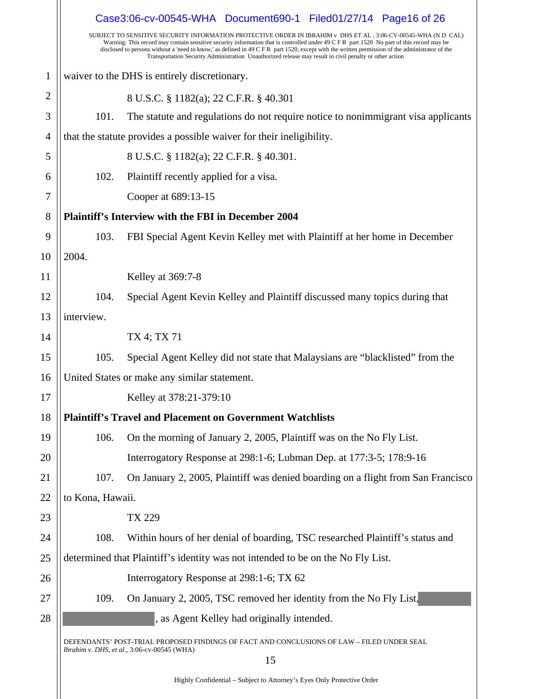|                |                  | Case3:06-cv-00545-WHA Document690-1 Filed01/27/14 Page16 of 26                                                                                                                                                                                                                                                                                                                                                                                                                                                               |
|----------------|------------------|------------------------------------------------------------------------------------------------------------------------------------------------------------------------------------------------------------------------------------------------------------------------------------------------------------------------------------------------------------------------------------------------------------------------------------------------------------------------------------------------------------------------------|
|                |                  | SUBJECT TO SENSITIVE SECURITY INFORMATION PROTECTIVE ORDER IN IBRAHIM v  DHS ET AL , 3:06-CV-00545-WHA (N D  CAL)<br>Warning: This record may contain sensitive security information that is controlled under 49 C F R part 1520 No part of this record may be<br>disclosed to persons without a 'need to know,' as defined in 49 C F R part 1520, except with the written permission of the administrator of the<br>Transportation Security Administration Unauthorized release may result in civil penalty or other action |
| $\mathbf{1}$   |                  | waiver to the DHS is entirely discretionary.                                                                                                                                                                                                                                                                                                                                                                                                                                                                                 |
| $\overline{c}$ |                  | 8 U.S.C. § 1182(a); 22 C.F.R. § 40.301                                                                                                                                                                                                                                                                                                                                                                                                                                                                                       |
| 3              | 101.             | The statute and regulations do not require notice to nonimmigrant visa applicants                                                                                                                                                                                                                                                                                                                                                                                                                                            |
| $\overline{4}$ |                  | that the statute provides a possible waiver for their ineligibility.                                                                                                                                                                                                                                                                                                                                                                                                                                                         |
| 5              |                  | 8 U.S.C. § 1182(a); 22 C.F.R. § 40.301.                                                                                                                                                                                                                                                                                                                                                                                                                                                                                      |
| 6              | 102.             | Plaintiff recently applied for a visa.                                                                                                                                                                                                                                                                                                                                                                                                                                                                                       |
| 7              |                  | Cooper at 689:13-15                                                                                                                                                                                                                                                                                                                                                                                                                                                                                                          |
| 8              |                  | <b>Plaintiff's Interview with the FBI in December 2004</b>                                                                                                                                                                                                                                                                                                                                                                                                                                                                   |
| 9              | 103.             | FBI Special Agent Kevin Kelley met with Plaintiff at her home in December                                                                                                                                                                                                                                                                                                                                                                                                                                                    |
| 10             | 2004.            |                                                                                                                                                                                                                                                                                                                                                                                                                                                                                                                              |
| 11             |                  | Kelley at 369:7-8                                                                                                                                                                                                                                                                                                                                                                                                                                                                                                            |
| 12             | 104.             | Special Agent Kevin Kelley and Plaintiff discussed many topics during that                                                                                                                                                                                                                                                                                                                                                                                                                                                   |
| 13             | interview.       |                                                                                                                                                                                                                                                                                                                                                                                                                                                                                                                              |
| 14             |                  | TX 4; TX 71                                                                                                                                                                                                                                                                                                                                                                                                                                                                                                                  |
| 15             | 105.             | Special Agent Kelley did not state that Malaysians are "blacklisted" from the                                                                                                                                                                                                                                                                                                                                                                                                                                                |
| 16             |                  | United States or make any similar statement.                                                                                                                                                                                                                                                                                                                                                                                                                                                                                 |
| 17             |                  | Kelley at 378:21-379:10                                                                                                                                                                                                                                                                                                                                                                                                                                                                                                      |
| 18             |                  | <b>Plaintiff's Travel and Placement on Government Watchlists</b>                                                                                                                                                                                                                                                                                                                                                                                                                                                             |
| 19             | 106.             | On the morning of January 2, 2005, Plaintiff was on the No Fly List.                                                                                                                                                                                                                                                                                                                                                                                                                                                         |
| 20             |                  | Interrogatory Response at 298:1-6; Lubman Dep. at 177:3-5; 178:9-16                                                                                                                                                                                                                                                                                                                                                                                                                                                          |
| 21             | 107.             | On January 2, 2005, Plaintiff was denied boarding on a flight from San Francisco                                                                                                                                                                                                                                                                                                                                                                                                                                             |
| 22             | to Kona, Hawaii. |                                                                                                                                                                                                                                                                                                                                                                                                                                                                                                                              |
| 23             |                  | TX 229                                                                                                                                                                                                                                                                                                                                                                                                                                                                                                                       |
| 24             | 108.             | Within hours of her denial of boarding, TSC researched Plaintiff's status and                                                                                                                                                                                                                                                                                                                                                                                                                                                |
| 25             |                  | determined that Plaintiff's identity was not intended to be on the No Fly List.                                                                                                                                                                                                                                                                                                                                                                                                                                              |
| 26             |                  | Interrogatory Response at 298:1-6; TX 62                                                                                                                                                                                                                                                                                                                                                                                                                                                                                     |
| 27             | 109.             | On January 2, 2005, TSC removed her identity from the No Fly List,                                                                                                                                                                                                                                                                                                                                                                                                                                                           |
| 28             |                  | as Agent Kelley had originally intended.                                                                                                                                                                                                                                                                                                                                                                                                                                                                                     |
|                |                  | DEFENDANTS' POST-TRIAL PROPOSED FINDINGS OF FACT AND CONCLUSIONS OF LAW - FILED UNDER SEAL<br>Ibrahim v. DHS, et al., 3:06-cv-00545 (WHA)<br>15                                                                                                                                                                                                                                                                                                                                                                              |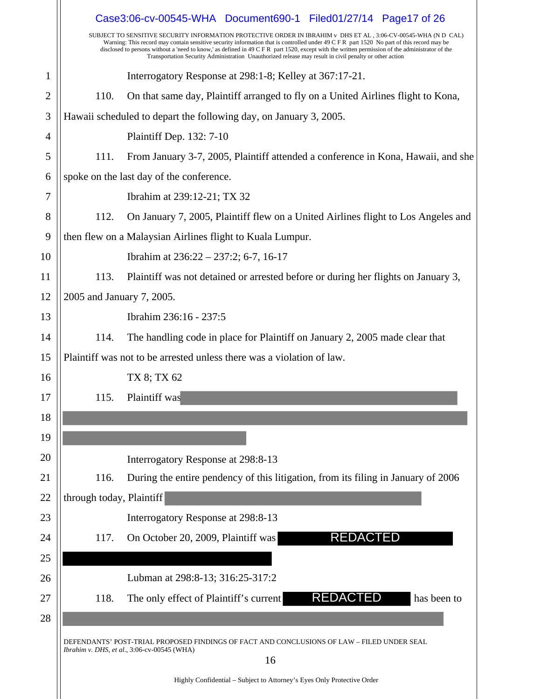|    |                           | Case3:06-cv-00545-WHA Document690-1 Filed01/27/14 Page17 of 26<br>SUBJECT TO SENSITIVE SECURITY INFORMATION PROTECTIVE ORDER IN IBRAHIM v DHS ET AL, 3:06-CV-00545-WHA (N D CAL)                                                                                                                                                                                                                        |
|----|---------------------------|---------------------------------------------------------------------------------------------------------------------------------------------------------------------------------------------------------------------------------------------------------------------------------------------------------------------------------------------------------------------------------------------------------|
|    |                           | Warning: This record may contain sensitive security information that is controlled under 49 C F R part 1520 No part of this record may be<br>disclosed to persons without a 'need to know,' as defined in 49 C F R part 1520, except with the written permission of the administrator of the<br>Transportation Security Administration Unauthorized release may result in civil penalty or other action |
| 1  |                           | Interrogatory Response at 298:1-8; Kelley at 367:17-21.                                                                                                                                                                                                                                                                                                                                                 |
| 2  | 110.                      | On that same day, Plaintiff arranged to fly on a United Airlines flight to Kona,                                                                                                                                                                                                                                                                                                                        |
| 3  |                           | Hawaii scheduled to depart the following day, on January 3, 2005.                                                                                                                                                                                                                                                                                                                                       |
| 4  |                           | Plaintiff Dep. 132: 7-10                                                                                                                                                                                                                                                                                                                                                                                |
| 5  | 111.                      | From January 3-7, 2005, Plaintiff attended a conference in Kona, Hawaii, and she                                                                                                                                                                                                                                                                                                                        |
| 6  |                           | spoke on the last day of the conference.                                                                                                                                                                                                                                                                                                                                                                |
| 7  |                           | Ibrahim at 239:12-21; TX 32                                                                                                                                                                                                                                                                                                                                                                             |
| 8  | 112.                      | On January 7, 2005, Plaintiff flew on a United Airlines flight to Los Angeles and                                                                                                                                                                                                                                                                                                                       |
| 9  |                           | then flew on a Malaysian Airlines flight to Kuala Lumpur.                                                                                                                                                                                                                                                                                                                                               |
| 10 |                           | Ibrahim at $236:22 - 237:2$ ; 6-7, 16-17                                                                                                                                                                                                                                                                                                                                                                |
| 11 | 113.                      | Plaintiff was not detained or arrested before or during her flights on January 3,                                                                                                                                                                                                                                                                                                                       |
| 12 | 2005 and January 7, 2005. |                                                                                                                                                                                                                                                                                                                                                                                                         |
| 13 |                           | Ibrahim 236:16 - 237:5                                                                                                                                                                                                                                                                                                                                                                                  |
| 14 | 114.                      | The handling code in place for Plaintiff on January 2, 2005 made clear that                                                                                                                                                                                                                                                                                                                             |
| 15 |                           | Plaintiff was not to be arrested unless there was a violation of law.                                                                                                                                                                                                                                                                                                                                   |
| 16 |                           | TX 8; TX 62                                                                                                                                                                                                                                                                                                                                                                                             |
|    |                           |                                                                                                                                                                                                                                                                                                                                                                                                         |
| 17 | 115.                      | Plaintiff was                                                                                                                                                                                                                                                                                                                                                                                           |
| 18 |                           |                                                                                                                                                                                                                                                                                                                                                                                                         |
| 19 |                           |                                                                                                                                                                                                                                                                                                                                                                                                         |
| 20 |                           | Interrogatory Response at 298:8-13                                                                                                                                                                                                                                                                                                                                                                      |
| 21 | 116.                      | During the entire pendency of this litigation, from its filing in January of 2006                                                                                                                                                                                                                                                                                                                       |
| 22 | through today, Plaintiff  |                                                                                                                                                                                                                                                                                                                                                                                                         |
| 23 |                           | Interrogatory Response at 298:8-13                                                                                                                                                                                                                                                                                                                                                                      |
| 24 | 117.                      | <b>REDACTED</b><br>On October 20, 2009, Plaintiff was                                                                                                                                                                                                                                                                                                                                                   |
| 25 |                           |                                                                                                                                                                                                                                                                                                                                                                                                         |
| 26 |                           | Lubman at 298:8-13; 316:25-317:2                                                                                                                                                                                                                                                                                                                                                                        |
| 27 | 118.                      | <b>REDACTED</b><br>The only effect of Plaintiff's current<br>has been to                                                                                                                                                                                                                                                                                                                                |
| 28 |                           |                                                                                                                                                                                                                                                                                                                                                                                                         |
|    |                           | DEFENDANTS' POST-TRIAL PROPOSED FINDINGS OF FACT AND CONCLUSIONS OF LAW - FILED UNDER SEAL<br>Ibrahim v. DHS, et al., 3:06-cv-00545 (WHA)<br>16                                                                                                                                                                                                                                                         |
|    |                           | Highly Confidential - Subject to Attorney's Eyes Only Protective Order                                                                                                                                                                                                                                                                                                                                  |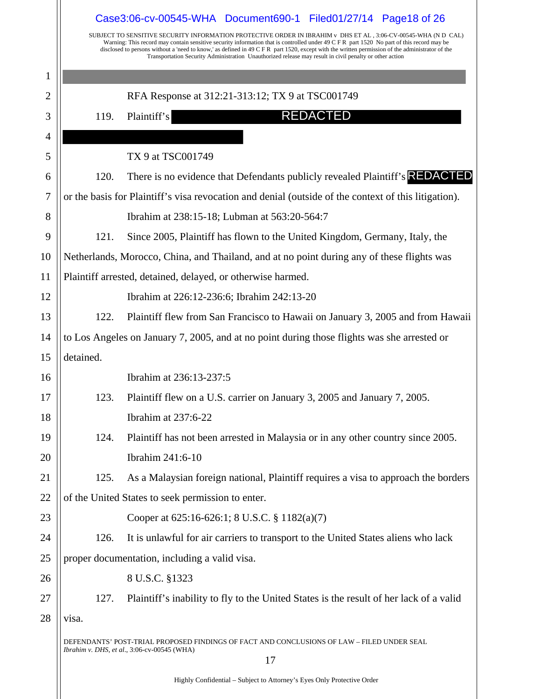|                | Case3:06-cv-00545-WHA Document690-1 Filed01/27/14 Page18 of 26<br>SUBJECT TO SENSITIVE SECURITY INFORMATION PROTECTIVE ORDER IN IBRAHIM v DHS ET AL , 3:06-CV-00545-WHA (N D CAL) |                                                                                                                                                                                                                                                                                                                                                                                                         |  |
|----------------|-----------------------------------------------------------------------------------------------------------------------------------------------------------------------------------|---------------------------------------------------------------------------------------------------------------------------------------------------------------------------------------------------------------------------------------------------------------------------------------------------------------------------------------------------------------------------------------------------------|--|
|                |                                                                                                                                                                                   | Warning: This record may contain sensitive security information that is controlled under 49 C F R part 1520 No part of this record may be<br>disclosed to persons without a 'need to know,' as defined in 49 C F R part 1520, except with the written permission of the administrator of the<br>Transportation Security Administration Unauthorized release may result in civil penalty or other action |  |
| 1              |                                                                                                                                                                                   |                                                                                                                                                                                                                                                                                                                                                                                                         |  |
| $\overline{c}$ |                                                                                                                                                                                   | RFA Response at 312:21-313:12; TX 9 at TSC001749                                                                                                                                                                                                                                                                                                                                                        |  |
| 3              | 119.                                                                                                                                                                              | <b>REDACTED</b><br>Plaintiff's                                                                                                                                                                                                                                                                                                                                                                          |  |
| 4              |                                                                                                                                                                                   |                                                                                                                                                                                                                                                                                                                                                                                                         |  |
| 5              |                                                                                                                                                                                   | TX 9 at TSC001749                                                                                                                                                                                                                                                                                                                                                                                       |  |
| 6              | 120.                                                                                                                                                                              | There is no evidence that Defendants publicly revealed Plaintiff's <b>REDACTED</b>                                                                                                                                                                                                                                                                                                                      |  |
| 7              |                                                                                                                                                                                   | or the basis for Plaintiff's visa revocation and denial (outside of the context of this litigation).                                                                                                                                                                                                                                                                                                    |  |
| 8              |                                                                                                                                                                                   | Ibrahim at 238:15-18; Lubman at 563:20-564:7                                                                                                                                                                                                                                                                                                                                                            |  |
| 9              | 121.                                                                                                                                                                              | Since 2005, Plaintiff has flown to the United Kingdom, Germany, Italy, the                                                                                                                                                                                                                                                                                                                              |  |
| 10             |                                                                                                                                                                                   | Netherlands, Morocco, China, and Thailand, and at no point during any of these flights was                                                                                                                                                                                                                                                                                                              |  |
| 11             |                                                                                                                                                                                   | Plaintiff arrested, detained, delayed, or otherwise harmed.                                                                                                                                                                                                                                                                                                                                             |  |
| 12             |                                                                                                                                                                                   | Ibrahim at 226:12-236:6; Ibrahim 242:13-20                                                                                                                                                                                                                                                                                                                                                              |  |
| 13             | 122.                                                                                                                                                                              | Plaintiff flew from San Francisco to Hawaii on January 3, 2005 and from Hawaii                                                                                                                                                                                                                                                                                                                          |  |
| 14             |                                                                                                                                                                                   | to Los Angeles on January 7, 2005, and at no point during those flights was she arrested or                                                                                                                                                                                                                                                                                                             |  |
| 15             | detained.                                                                                                                                                                         |                                                                                                                                                                                                                                                                                                                                                                                                         |  |
| 16             |                                                                                                                                                                                   | Ibrahim at 236:13-237:5                                                                                                                                                                                                                                                                                                                                                                                 |  |
| 17             | 123.                                                                                                                                                                              | Plaintiff flew on a U.S. carrier on January 3, 2005 and January 7, 2005.                                                                                                                                                                                                                                                                                                                                |  |
| 18             |                                                                                                                                                                                   | Ibrahim at 237:6-22                                                                                                                                                                                                                                                                                                                                                                                     |  |
| 19             | 124.                                                                                                                                                                              | Plaintiff has not been arrested in Malaysia or in any other country since 2005.                                                                                                                                                                                                                                                                                                                         |  |
| 20             |                                                                                                                                                                                   | Ibrahim 241:6-10                                                                                                                                                                                                                                                                                                                                                                                        |  |
| 21             | 125.                                                                                                                                                                              | As a Malaysian foreign national, Plaintiff requires a visa to approach the borders                                                                                                                                                                                                                                                                                                                      |  |
| 22             |                                                                                                                                                                                   | of the United States to seek permission to enter.                                                                                                                                                                                                                                                                                                                                                       |  |
| 23             |                                                                                                                                                                                   | Cooper at 625:16-626:1; 8 U.S.C. § 1182(a)(7)                                                                                                                                                                                                                                                                                                                                                           |  |
| 24             | 126.                                                                                                                                                                              | It is unlawful for air carriers to transport to the United States aliens who lack                                                                                                                                                                                                                                                                                                                       |  |
| 25             |                                                                                                                                                                                   | proper documentation, including a valid visa.                                                                                                                                                                                                                                                                                                                                                           |  |
| 26             |                                                                                                                                                                                   | 8 U.S.C. §1323                                                                                                                                                                                                                                                                                                                                                                                          |  |
| 27             | 127.                                                                                                                                                                              | Plaintiff's inability to fly to the United States is the result of her lack of a valid                                                                                                                                                                                                                                                                                                                  |  |
| 28             | visa.                                                                                                                                                                             |                                                                                                                                                                                                                                                                                                                                                                                                         |  |
|                |                                                                                                                                                                                   | DEFENDANTS' POST-TRIAL PROPOSED FINDINGS OF FACT AND CONCLUSIONS OF LAW – FILED UNDER SEAL                                                                                                                                                                                                                                                                                                              |  |
|                |                                                                                                                                                                                   | Ibrahim v. DHS, et al., 3:06-cv-00545 (WHA)<br>17                                                                                                                                                                                                                                                                                                                                                       |  |
|                |                                                                                                                                                                                   |                                                                                                                                                                                                                                                                                                                                                                                                         |  |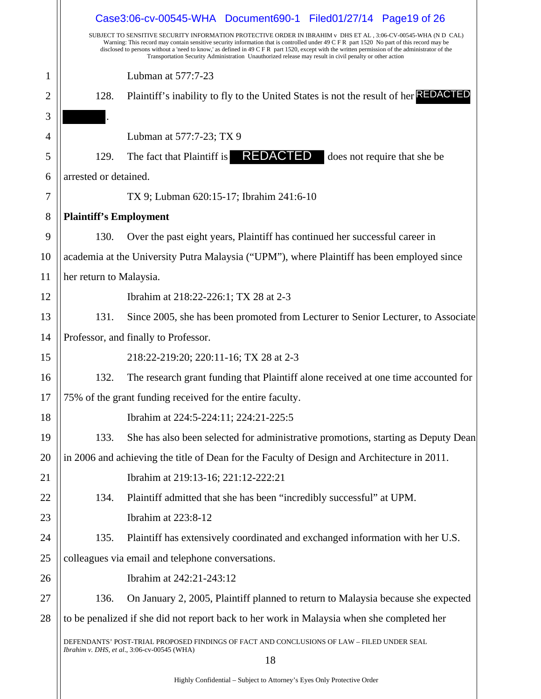|    |                               | Case3:06-cv-00545-WHA Document690-1 Filed01/27/14 Page19 of 26                                                                                                                                                                                                                                                                                                                                                                                                                                                            |
|----|-------------------------------|---------------------------------------------------------------------------------------------------------------------------------------------------------------------------------------------------------------------------------------------------------------------------------------------------------------------------------------------------------------------------------------------------------------------------------------------------------------------------------------------------------------------------|
|    |                               | SUBJECT TO SENSITIVE SECURITY INFORMATION PROTECTIVE ORDER IN IBRAHIM v DHS ET AL, 3:06-CV-00545-WHA (N D CAL)<br>Warning: This record may contain sensitive security information that is controlled under 49 C F R part 1520 No part of this record may be<br>disclosed to persons without a 'need to know,' as defined in 49 C F R part 1520, except with the written permission of the administrator of the<br>Transportation Security Administration Unauthorized release may result in civil penalty or other action |
| 1  |                               | Lubman at 577:7-23                                                                                                                                                                                                                                                                                                                                                                                                                                                                                                        |
| 2  | 128.                          | Plaintiff's inability to fly to the United States is not the result of her REDACTED                                                                                                                                                                                                                                                                                                                                                                                                                                       |
| 3  |                               |                                                                                                                                                                                                                                                                                                                                                                                                                                                                                                                           |
| 4  |                               | Lubman at 577:7-23; TX 9                                                                                                                                                                                                                                                                                                                                                                                                                                                                                                  |
| 5  | 129.                          | The fact that Plaintiff is <b>REDACTED</b><br>does not require that she be                                                                                                                                                                                                                                                                                                                                                                                                                                                |
| 6  | arrested or detained.         |                                                                                                                                                                                                                                                                                                                                                                                                                                                                                                                           |
| 7  |                               | TX 9; Lubman 620:15-17; Ibrahim 241:6-10                                                                                                                                                                                                                                                                                                                                                                                                                                                                                  |
| 8  | <b>Plaintiff's Employment</b> |                                                                                                                                                                                                                                                                                                                                                                                                                                                                                                                           |
| 9  | 130.                          | Over the past eight years, Plaintiff has continued her successful career in                                                                                                                                                                                                                                                                                                                                                                                                                                               |
| 10 |                               | academia at the University Putra Malaysia ("UPM"), where Plaintiff has been employed since                                                                                                                                                                                                                                                                                                                                                                                                                                |
| 11 | her return to Malaysia.       |                                                                                                                                                                                                                                                                                                                                                                                                                                                                                                                           |
| 12 |                               | Ibrahim at 218:22-226:1; TX 28 at 2-3                                                                                                                                                                                                                                                                                                                                                                                                                                                                                     |
| 13 | 131.                          | Since 2005, she has been promoted from Lecturer to Senior Lecturer, to Associate                                                                                                                                                                                                                                                                                                                                                                                                                                          |
| 14 |                               | Professor, and finally to Professor.                                                                                                                                                                                                                                                                                                                                                                                                                                                                                      |
| 15 |                               | 218:22-219:20; 220:11-16; TX 28 at 2-3                                                                                                                                                                                                                                                                                                                                                                                                                                                                                    |
| 16 | 132.                          | The research grant funding that Plaintiff alone received at one time accounted for                                                                                                                                                                                                                                                                                                                                                                                                                                        |
| 17 |                               | 75% of the grant funding received for the entire faculty.                                                                                                                                                                                                                                                                                                                                                                                                                                                                 |
| 18 |                               | Ibrahim at 224:5-224:11; 224:21-225:5                                                                                                                                                                                                                                                                                                                                                                                                                                                                                     |
| 19 | 133.                          | She has also been selected for administrative promotions, starting as Deputy Dean                                                                                                                                                                                                                                                                                                                                                                                                                                         |
| 20 |                               | in 2006 and achieving the title of Dean for the Faculty of Design and Architecture in 2011.                                                                                                                                                                                                                                                                                                                                                                                                                               |
| 21 |                               | Ibrahim at 219:13-16; 221:12-222:21                                                                                                                                                                                                                                                                                                                                                                                                                                                                                       |
| 22 | 134.                          | Plaintiff admitted that she has been "incredibly successful" at UPM.                                                                                                                                                                                                                                                                                                                                                                                                                                                      |
| 23 |                               | Ibrahim at 223:8-12                                                                                                                                                                                                                                                                                                                                                                                                                                                                                                       |
| 24 | 135.                          | Plaintiff has extensively coordinated and exchanged information with her U.S.                                                                                                                                                                                                                                                                                                                                                                                                                                             |
| 25 |                               | colleagues via email and telephone conversations.                                                                                                                                                                                                                                                                                                                                                                                                                                                                         |
| 26 |                               | Ibrahim at 242:21-243:12                                                                                                                                                                                                                                                                                                                                                                                                                                                                                                  |
| 27 | 136.                          | On January 2, 2005, Plaintiff planned to return to Malaysia because she expected                                                                                                                                                                                                                                                                                                                                                                                                                                          |
| 28 |                               | to be penalized if she did not report back to her work in Malaysia when she completed her                                                                                                                                                                                                                                                                                                                                                                                                                                 |
|    |                               | DEFENDANTS' POST-TRIAL PROPOSED FINDINGS OF FACT AND CONCLUSIONS OF LAW - FILED UNDER SEAL<br>Ibrahim v. DHS, et al., 3:06-cv-00545 (WHA)                                                                                                                                                                                                                                                                                                                                                                                 |
|    |                               | 18                                                                                                                                                                                                                                                                                                                                                                                                                                                                                                                        |
|    |                               |                                                                                                                                                                                                                                                                                                                                                                                                                                                                                                                           |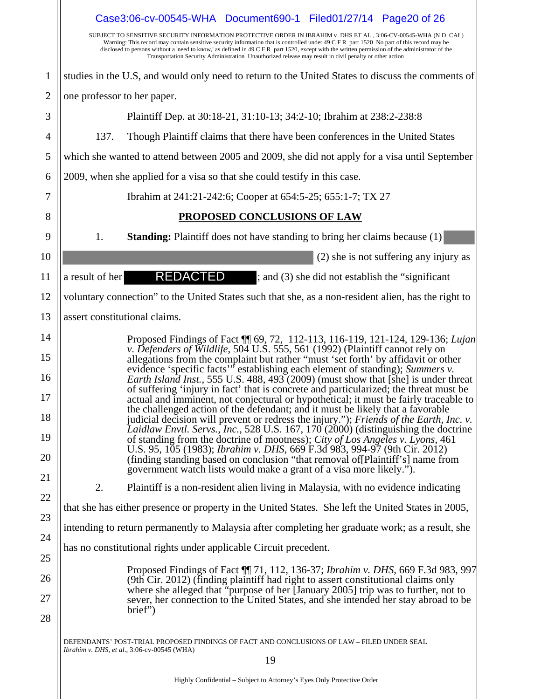|                                        | Case3:06-cv-00545-WHA Document690-1 Filed01/27/14 Page20 of 26<br>SUBJECT TO SENSITIVE SECURITY INFORMATION PROTECTIVE ORDER IN IBRAHIM v DHS ET AL , 3:06-CV-00545-WHA (N D CAL)                                                                                                                                                                                                                                                                                                                                                                                                                                                                                                                                                                                                                                                                                                                                                                                                                                                                                                                                                                                                                   |
|----------------------------------------|-----------------------------------------------------------------------------------------------------------------------------------------------------------------------------------------------------------------------------------------------------------------------------------------------------------------------------------------------------------------------------------------------------------------------------------------------------------------------------------------------------------------------------------------------------------------------------------------------------------------------------------------------------------------------------------------------------------------------------------------------------------------------------------------------------------------------------------------------------------------------------------------------------------------------------------------------------------------------------------------------------------------------------------------------------------------------------------------------------------------------------------------------------------------------------------------------------|
|                                        | Warning: This record may contain sensitive security information that is controlled under 49 C F R part 1520 No part of this record may be<br>disclosed to persons without a 'need to know,' as defined in 49 C F R part 1520, except with the written permission of the administrator of the<br>Transportation Security Administration Unauthorized release may result in civil penalty or other action                                                                                                                                                                                                                                                                                                                                                                                                                                                                                                                                                                                                                                                                                                                                                                                             |
| $\mathbf{1}$                           | studies in the U.S, and would only need to return to the United States to discuss the comments of                                                                                                                                                                                                                                                                                                                                                                                                                                                                                                                                                                                                                                                                                                                                                                                                                                                                                                                                                                                                                                                                                                   |
| $\overline{2}$                         | one professor to her paper.                                                                                                                                                                                                                                                                                                                                                                                                                                                                                                                                                                                                                                                                                                                                                                                                                                                                                                                                                                                                                                                                                                                                                                         |
| 3                                      | Plaintiff Dep. at 30:18-21, 31:10-13; 34:2-10; Ibrahim at 238:2-238:8                                                                                                                                                                                                                                                                                                                                                                                                                                                                                                                                                                                                                                                                                                                                                                                                                                                                                                                                                                                                                                                                                                                               |
| 4                                      | Though Plaintiff claims that there have been conferences in the United States<br>137.                                                                                                                                                                                                                                                                                                                                                                                                                                                                                                                                                                                                                                                                                                                                                                                                                                                                                                                                                                                                                                                                                                               |
| 5                                      | which she wanted to attend between 2005 and 2009, she did not apply for a visa until September                                                                                                                                                                                                                                                                                                                                                                                                                                                                                                                                                                                                                                                                                                                                                                                                                                                                                                                                                                                                                                                                                                      |
| 6                                      | 2009, when she applied for a visa so that she could testify in this case.                                                                                                                                                                                                                                                                                                                                                                                                                                                                                                                                                                                                                                                                                                                                                                                                                                                                                                                                                                                                                                                                                                                           |
| 7                                      | Ibrahim at 241:21-242:6; Cooper at 654:5-25; 655:1-7; TX 27                                                                                                                                                                                                                                                                                                                                                                                                                                                                                                                                                                                                                                                                                                                                                                                                                                                                                                                                                                                                                                                                                                                                         |
| 8                                      | PROPOSED CONCLUSIONS OF LAW                                                                                                                                                                                                                                                                                                                                                                                                                                                                                                                                                                                                                                                                                                                                                                                                                                                                                                                                                                                                                                                                                                                                                                         |
| 9                                      | <b>Standing:</b> Plaintiff does not have standing to bring her claims because (1)<br>1.                                                                                                                                                                                                                                                                                                                                                                                                                                                                                                                                                                                                                                                                                                                                                                                                                                                                                                                                                                                                                                                                                                             |
| 10                                     | (2) she is not suffering any injury as                                                                                                                                                                                                                                                                                                                                                                                                                                                                                                                                                                                                                                                                                                                                                                                                                                                                                                                                                                                                                                                                                                                                                              |
| 11                                     | REDACTED<br>; and (3) she did not establish the "significant"<br>a result of her                                                                                                                                                                                                                                                                                                                                                                                                                                                                                                                                                                                                                                                                                                                                                                                                                                                                                                                                                                                                                                                                                                                    |
| 12                                     | voluntary connection" to the United States such that she, as a non-resident alien, has the right to                                                                                                                                                                                                                                                                                                                                                                                                                                                                                                                                                                                                                                                                                                                                                                                                                                                                                                                                                                                                                                                                                                 |
| 13                                     | assert constitutional claims.                                                                                                                                                                                                                                                                                                                                                                                                                                                                                                                                                                                                                                                                                                                                                                                                                                                                                                                                                                                                                                                                                                                                                                       |
| 15<br>16<br>17<br>18<br>19<br>20<br>21 | Proposed Findings of Fact ¶ 69, 72, 112-113, 116-119, 121-124, 129-136; Lujan<br>v. Defenders of Wildlife, 504 U.S. 555, 561 (1992) (Plaintiff cannot rely on<br>allegations from the complaint but rather "must 'set forth' by affidavit or other<br>evidence 'specific facts'" establishing each element of standing); Summers v.<br>Earth Island Inst., 555 U.S. 488, 493 (2009) (must show that [she] is under threat<br>of suffering 'injury in fact' that is concrete and particularized; the threat must be<br>actual and imminent, not conjectural or hypothetical; it must be fairly traceable to<br>the challenged action of the defendant; and it must be likely that a favorable<br>judicial decision will prevent or redress the injury."); Friends of the Earth, Inc. v.<br>Laidlaw Envtl. Servs., Inc., 528 U.S. 167, 170 (2000) (distinguishing the doctrine<br>of standing from the doctrine of mootness); City of Los Angeles v. Lyons, 461<br>U.S. 95, 105 (1983); Ibrahim v. DHS, 669 F.3d 983, 994-97 (9th Cir. 2012)<br>(finding standing based on conclusion "that removal of [Plaintiff's] name from<br>government watch lists would make a grant of a visa more likely."). |
| 22                                     | 2.<br>Plaintiff is a non-resident alien living in Malaysia, with no evidence indicating                                                                                                                                                                                                                                                                                                                                                                                                                                                                                                                                                                                                                                                                                                                                                                                                                                                                                                                                                                                                                                                                                                             |
| 23                                     | that she has either presence or property in the United States. She left the United States in 2005,                                                                                                                                                                                                                                                                                                                                                                                                                                                                                                                                                                                                                                                                                                                                                                                                                                                                                                                                                                                                                                                                                                  |
| 24                                     | intending to return permanently to Malaysia after completing her graduate work; as a result, she                                                                                                                                                                                                                                                                                                                                                                                                                                                                                                                                                                                                                                                                                                                                                                                                                                                                                                                                                                                                                                                                                                    |
| 25                                     | has no constitutional rights under applicable Circuit precedent.                                                                                                                                                                                                                                                                                                                                                                                                                                                                                                                                                                                                                                                                                                                                                                                                                                                                                                                                                                                                                                                                                                                                    |
| 26<br>27<br>28                         | Proposed Findings of Fact ¶ 71, 112, 136-37; Ibrahim v. DHS, 669 F.3d 983, 997<br>(9th Cir. 2012) (finding plaintiff had right to assert constitutional claims only<br>where she alleged that "purpose of her [January 2005] trip was to further, not to<br>sever, her connection to the United States, and she intended her stay abroad to be<br>brief")                                                                                                                                                                                                                                                                                                                                                                                                                                                                                                                                                                                                                                                                                                                                                                                                                                           |
|                                        | DEFENDANTS' POST-TRIAL PROPOSED FINDINGS OF FACT AND CONCLUSIONS OF LAW – FILED UNDER SEAL<br>Ibrahim v. DHS, et al., 3:06-cv-00545 (WHA)<br>19                                                                                                                                                                                                                                                                                                                                                                                                                                                                                                                                                                                                                                                                                                                                                                                                                                                                                                                                                                                                                                                     |
|                                        | Highly Confidential – Subject to Attorney's Eyes Only Protective Order                                                                                                                                                                                                                                                                                                                                                                                                                                                                                                                                                                                                                                                                                                                                                                                                                                                                                                                                                                                                                                                                                                                              |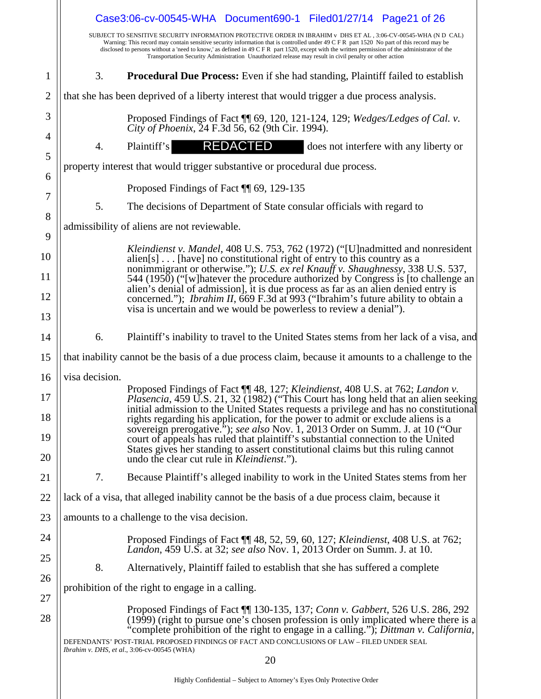|                | Case3:06-cv-00545-WHA Document690-1 Filed01/27/14 Page21 of 26                                                                                                                                                                                                                                                                                                                                                                                                                                                            |
|----------------|---------------------------------------------------------------------------------------------------------------------------------------------------------------------------------------------------------------------------------------------------------------------------------------------------------------------------------------------------------------------------------------------------------------------------------------------------------------------------------------------------------------------------|
|                | SUBJECT TO SENSITIVE SECURITY INFORMATION PROTECTIVE ORDER IN IBRAHIM v DHS ET AL, 3:06-CV-00545-WHA (N D CAL)<br>Warning: This record may contain sensitive security information that is controlled under 49 C F R part 1520 No part of this record may be<br>disclosed to persons without a 'need to know,' as defined in 49 C F R part 1520, except with the written permission of the administrator of the<br>Transportation Security Administration Unauthorized release may result in civil penalty or other action |
| $\mathbf{1}$   | 3.<br><b>Procedural Due Process:</b> Even if she had standing, Plaintiff failed to establish                                                                                                                                                                                                                                                                                                                                                                                                                              |
| $\overline{2}$ | that she has been deprived of a liberty interest that would trigger a due process analysis.                                                                                                                                                                                                                                                                                                                                                                                                                               |
| 3              | Proposed Findings of Fact [[ 69, 120, 121-124, 129; Wedges/Ledges of Cal. v.<br>City of Phoenix, 24 F.3d 56, 62 (9th Cir. 1994).                                                                                                                                                                                                                                                                                                                                                                                          |
| $\overline{4}$ | REDACTED<br>Plaintiff's<br>does not interfere with any liberty or<br>4.                                                                                                                                                                                                                                                                                                                                                                                                                                                   |
| 5              | property interest that would trigger substantive or procedural due process.                                                                                                                                                                                                                                                                                                                                                                                                                                               |
| 6              | Proposed Findings of Fact ¶ 69, 129-135                                                                                                                                                                                                                                                                                                                                                                                                                                                                                   |
| 7              | 5.<br>The decisions of Department of State consular officials with regard to                                                                                                                                                                                                                                                                                                                                                                                                                                              |
| 8              | admissibility of aliens are not reviewable.                                                                                                                                                                                                                                                                                                                                                                                                                                                                               |
| 9              | Kleindienst v. Mandel, 408 U.S. 753, 762 (1972) ("[U]nadmitted and nonresident                                                                                                                                                                                                                                                                                                                                                                                                                                            |
| 10             | $alien[s] \dots$ [have] no constitutional right of entry to this country as a<br>nonimmigrant or otherwise."); U.S. ex rel Knauff v. Shaughnessy, 338 U.S. 537,                                                                                                                                                                                                                                                                                                                                                           |
| 11             | 544 (1950) ("[w] hatever the procedure authorized by Congress is [to challenge an<br>alien's denial of admission], it is due process as far as an alien denied entry is                                                                                                                                                                                                                                                                                                                                                   |
| 12             | concerned."); <i>Ibrahim II</i> , 669 F.3d at 993 ("Ibrahim's future ability to obtain a<br>visa is uncertain and we would be powerless to review a denial".                                                                                                                                                                                                                                                                                                                                                              |
| 13             |                                                                                                                                                                                                                                                                                                                                                                                                                                                                                                                           |
| 14             | Plaintiff's inability to travel to the United States stems from her lack of a visa, and<br>6.                                                                                                                                                                                                                                                                                                                                                                                                                             |
| 15             | that inability cannot be the basis of a due process claim, because it amounts to a challenge to the                                                                                                                                                                                                                                                                                                                                                                                                                       |
| 16             | visa decision.                                                                                                                                                                                                                                                                                                                                                                                                                                                                                                            |
| 17             | Proposed Findings of Fact 1148, 127; Kleindienst, 408 U.S. at 762; Landon v.<br><i>Plasencia</i> , 459 U.S. 21, 32 (1982) ("This Court has long held that an alien seeking                                                                                                                                                                                                                                                                                                                                                |
| 18             | initial admission to the United States requests a privilege and has no constitutional<br>rights regarding his application, for the power to admit or exclude aliens is a                                                                                                                                                                                                                                                                                                                                                  |
| 19             | sovereign prerogative."); see also Nov. 1, 2013 Order on Summ. J. at 10 ("Our<br>court of appeals has ruled that plaintiff's substantial connection to the United<br>States gives her standing to assert constitutional claims but this ruling cannot                                                                                                                                                                                                                                                                     |
| 20             | undo the clear cut rule in <i>Kleindienst.</i> ").<br>7.<br>Because Plaintiff's alleged inability to work in the United States stems from her                                                                                                                                                                                                                                                                                                                                                                             |
| 21             |                                                                                                                                                                                                                                                                                                                                                                                                                                                                                                                           |
| 22             | lack of a visa, that alleged inability cannot be the basis of a due process claim, because it                                                                                                                                                                                                                                                                                                                                                                                                                             |
| 23             | amounts to a challenge to the visa decision.                                                                                                                                                                                                                                                                                                                                                                                                                                                                              |
| 24<br>25       | Proposed Findings of Fact ¶ 48, 52, 59, 60, 127; Kleindienst, 408 U.S. at 762;<br>Landon, 459 U.S. at 32; see also Nov. 1, 2013 Order on Summ. J. at 10.                                                                                                                                                                                                                                                                                                                                                                  |
| 26             | 8.<br>Alternatively, Plaintiff failed to establish that she has suffered a complete                                                                                                                                                                                                                                                                                                                                                                                                                                       |
| 27             | prohibition of the right to engage in a calling.                                                                                                                                                                                                                                                                                                                                                                                                                                                                          |
| 28             | Proposed Findings of Fact 11 130-135, 137; Conn v. Gabbert, 526 U.S. 286, 292<br>(1999) (right to pursue one's chosen profession is only implicated where there is a<br>'complete prohibition of the right to engage in a calling."); Dittman v. California,<br>DEFENDANTS' POST-TRIAL PROPOSED FINDINGS OF FACT AND CONCLUSIONS OF LAW - FILED UNDER SEAL<br>Ibrahim v. DHS, et al., 3:06-cv-00545 (WHA)                                                                                                                 |
|                | 20                                                                                                                                                                                                                                                                                                                                                                                                                                                                                                                        |
|                |                                                                                                                                                                                                                                                                                                                                                                                                                                                                                                                           |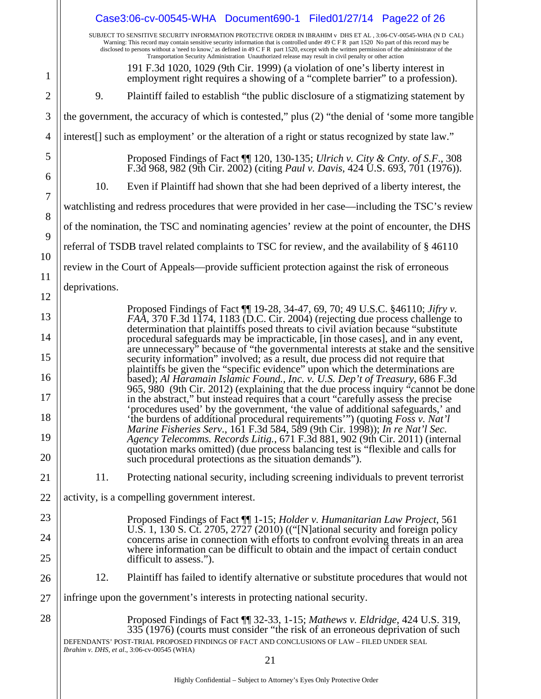|          | Case3:06-cv-00545-WHA Document690-1 Filed01/27/14 Page22 of 26                                                                                                                                                                                                                                                                                                                                                                                                                                                              |
|----------|-----------------------------------------------------------------------------------------------------------------------------------------------------------------------------------------------------------------------------------------------------------------------------------------------------------------------------------------------------------------------------------------------------------------------------------------------------------------------------------------------------------------------------|
|          | SUBJECT TO SENSITIVE SECURITY INFORMATION PROTECTIVE ORDER IN IBRAHIM v DHS ET AL , 3:06-CV-00545-WHA (N D  CAL)<br>Warning: This record may contain sensitive security information that is controlled under 49 C F R part 1520 No part of this record may be<br>disclosed to persons without a 'need to know,' as defined in 49 C F R part 1520, except with the written permission of the administrator of the<br>Transportation Security Administration Unauthorized release may result in civil penalty or other action |
| 1        | 191 F.3d 1020, 1029 (9th Cir. 1999) (a violation of one's liberty interest in<br>employment right requires a showing of a "complete barrier" to a profession).                                                                                                                                                                                                                                                                                                                                                              |
| 2        | Plaintiff failed to establish "the public disclosure of a stigmatizing statement by<br>9.                                                                                                                                                                                                                                                                                                                                                                                                                                   |
| 3        | the government, the accuracy of which is contested," plus (2) "the denial of 'some more tangible                                                                                                                                                                                                                                                                                                                                                                                                                            |
| 4        | interest[] such as employment' or the alteration of a right or status recognized by state law."                                                                                                                                                                                                                                                                                                                                                                                                                             |
| 5        | Proposed Findings of Fact 11 120, 130-135; Ulrich v. City & Cnty. of S.F., 308 F.3d 968, 982 (9th Cir. 2002) (citing Paul v. Davis, 424 U.S. 693, 701 (1976)).                                                                                                                                                                                                                                                                                                                                                              |
| 6<br>7   | 10.<br>Even if Plaintiff had shown that she had been deprived of a liberty interest, the                                                                                                                                                                                                                                                                                                                                                                                                                                    |
| 8        | watchlisting and redress procedures that were provided in her case—including the TSC's review                                                                                                                                                                                                                                                                                                                                                                                                                               |
| 9        | of the nomination, the TSC and nominating agencies' review at the point of encounter, the DHS                                                                                                                                                                                                                                                                                                                                                                                                                               |
| 10       | referral of TSDB travel related complaints to TSC for review, and the availability of § 46110                                                                                                                                                                                                                                                                                                                                                                                                                               |
| 11       | review in the Court of Appeals—provide sufficient protection against the risk of erroneous                                                                                                                                                                                                                                                                                                                                                                                                                                  |
| 12       | deprivations.                                                                                                                                                                                                                                                                                                                                                                                                                                                                                                               |
| 13       | Proposed Findings of Fact 11 19-28, 34-47, 69, 70; 49 U.S.C. §46110; Jifry v.<br>FAA, 370 F.3d 1174, 1183 (D.C. Cir. 2004) (rejecting due process challenge to                                                                                                                                                                                                                                                                                                                                                              |
| 14       | determination that plaintiffs posed threats to civil aviation because "substitute"<br>procedural safeguards may be impracticable, [in those cases], and in any event,                                                                                                                                                                                                                                                                                                                                                       |
| 15       | are unnecessary" because of "the governmental interests at stake and the sensitive<br>security information" involved; as a result, due process did not require that                                                                                                                                                                                                                                                                                                                                                         |
| 16       | plaintiffs be given the "specific evidence" upon which the determinations are<br>based); Al Haramain Islamic Found., Inc. v. U.S. Dep't of Treasury, 686 F.3d<br>965, 980 (9th Cir. 2012) (explaining that the due process inquiry "cannot be done                                                                                                                                                                                                                                                                          |
| 17       | in the abstract," but instead requires that a court "carefully assess the precise<br>'procedures used' by the government, 'the value of additional safeguards,' and                                                                                                                                                                                                                                                                                                                                                         |
| 18       | 'the burdens of additional procedural requirements'") (quoting Foss v. Nat'l<br><i>Marine Fisheries Serv.</i> , 161 F.3d 584, 589 (9th Cir. 1998)); <i>In re Nat'l Sec.</i>                                                                                                                                                                                                                                                                                                                                                 |
| 19<br>20 | Agency Telecomms. Records Litig., 671 F.3d 881, 902 (9th Cir. 2011) (internal<br>quotation marks omitted) (due process balancing test is "flexible and calls for<br>such procedural protections as the situation demands").                                                                                                                                                                                                                                                                                                 |
| 21       | 11.<br>Protecting national security, including screening individuals to prevent terrorist                                                                                                                                                                                                                                                                                                                                                                                                                                   |
| 22       | activity, is a compelling government interest.                                                                                                                                                                                                                                                                                                                                                                                                                                                                              |
| 23       | Proposed Findings of Fact ¶ 1-15; <i>Holder v. Humanitarian Law Project</i> , 561                                                                                                                                                                                                                                                                                                                                                                                                                                           |
| 24       | U.S. 1, 130 S. Ct. 2705, 2727 (2010) (("[N]ational security and foreign policy<br>concerns arise in connection with efforts to confront evolving threats in an area                                                                                                                                                                                                                                                                                                                                                         |
| 25       | where information can be difficult to obtain and the impact of certain conduct<br>difficult to assess.").                                                                                                                                                                                                                                                                                                                                                                                                                   |
| 26       | 12.<br>Plaintiff has failed to identify alternative or substitute procedures that would not                                                                                                                                                                                                                                                                                                                                                                                                                                 |
| 27       | infringe upon the government's interests in protecting national security.                                                                                                                                                                                                                                                                                                                                                                                                                                                   |
| 28       | Proposed Findings of Fact ¶ 32-33, 1-15; Mathews v. Eldridge, 424 U.S. 319,<br>335 (1976) (courts must consider "the risk of an erroneous deprivation of such                                                                                                                                                                                                                                                                                                                                                               |
|          | DEFENDANTS' POST-TRIAL PROPOSED FINDINGS OF FACT AND CONCLUSIONS OF LAW - FILED UNDER SEAL<br>Ibrahim v. DHS, et al., 3:06-cv-00545 (WHA)<br>21                                                                                                                                                                                                                                                                                                                                                                             |
|          |                                                                                                                                                                                                                                                                                                                                                                                                                                                                                                                             |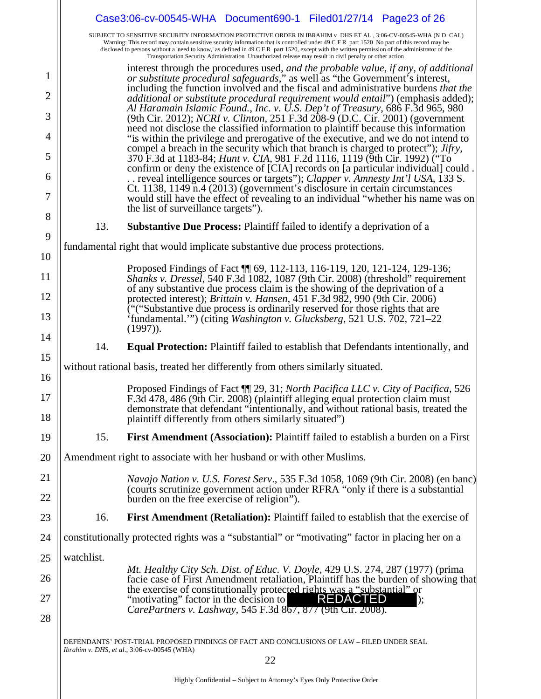|          |            | Case3:06-cv-00545-WHA Document690-1 Filed01/27/14 Page23 of 26                                                                                                                                                                                                                                                                                                                                                                                                                                                            |
|----------|------------|---------------------------------------------------------------------------------------------------------------------------------------------------------------------------------------------------------------------------------------------------------------------------------------------------------------------------------------------------------------------------------------------------------------------------------------------------------------------------------------------------------------------------|
|          |            | SUBJECT TO SENSITIVE SECURITY INFORMATION PROTECTIVE ORDER IN IBRAHIM v DHS ET AL, 3:06-CV-00545-WHA (N D CAL)<br>Warning: This record may contain sensitive security information that is controlled under 49 C F R part 1520 No part of this record may be<br>disclosed to persons without a 'need to know,' as defined in 49 C F R part 1520, except with the written permission of the administrator of the<br>Transportation Security Administration Unauthorized release may result in civil penalty or other action |
| 1        |            | interest through the procedures used, and the probable value, if any, of additional<br>or substitute procedural safeguards," as well as "the Government's interest,<br>including the function involved and the fiscal and administrative burdens that the                                                                                                                                                                                                                                                                 |
| 2        |            | <i>additional or substitute procedural requirement would entail</i> " (emphasis added);                                                                                                                                                                                                                                                                                                                                                                                                                                   |
| 3        |            | Al Haramain Islamic Found., Inc. v. U.S. Dep't of Treasury, 686 F.3d 965, 980<br>(9th Cir. 2012); <i>NCRI v. Clinton</i> , 251 F.3d 208-9 (D.C. Cir. 2001) (government                                                                                                                                                                                                                                                                                                                                                    |
| 4        |            | need not disclose the classified information to plaintiff because this information<br>"is within the privilege and prerogative of the executive, and we do not intend to                                                                                                                                                                                                                                                                                                                                                  |
| 5        |            | compel a breach in the security which that branch is charged to protect"); <i>Jifry</i> ,<br>370 F.3d at 1183-84; <i>Hunt v. CIA</i> , 981 F.2d 1116, 1119 (9th Cir. 1992) ("To<br>confirm or deny the existence of [CIA] records on [a particular individual] could.                                                                                                                                                                                                                                                     |
| 6        |            | . reveal intelligence sources or targets"); Clapper v. Amnesty Int'l USA, 133 S.                                                                                                                                                                                                                                                                                                                                                                                                                                          |
| 7        |            | Ct. 1138, 1149 n.4 (2013) (government's disclosure in certain circumstances<br>would still have the effect of revealing to an individual "whether his name was on<br>the list of surveillance targets").                                                                                                                                                                                                                                                                                                                  |
| 8        | 13.        | <b>Substantive Due Process: Plaintiff failed to identify a deprivation of a</b>                                                                                                                                                                                                                                                                                                                                                                                                                                           |
| 9        |            | fundamental right that would implicate substantive due process protections.                                                                                                                                                                                                                                                                                                                                                                                                                                               |
| 10       |            |                                                                                                                                                                                                                                                                                                                                                                                                                                                                                                                           |
| 11       |            | Proposed Findings of Fact 11 69, 112-113, 116-119, 120, 121-124, 129-136;<br>Shanks v. Dressel, 540 F.3d 1082, 1087 (9th Cir. 2008) (threshold" requirement<br>of any substantive due process claim is the showing of the deprivation of a                                                                                                                                                                                                                                                                                |
| 12       |            | protected interest); <i>Brittain v. Hansen</i> , 451 F.3d 982, 990 (9th Cir. 2006)<br>$\tilde{C}$ "("Substantive due process is ordinarily reserved for those rights that are                                                                                                                                                                                                                                                                                                                                             |
| 13<br>14 |            | 'fundamental.'") (citing Washington v. Glucksberg, 521 U.S. 702, 721–22<br>$(1997)$ ).                                                                                                                                                                                                                                                                                                                                                                                                                                    |
| 15       | 14.        | <b>Equal Protection:</b> Plaintiff failed to establish that Defendants intentionally, and                                                                                                                                                                                                                                                                                                                                                                                                                                 |
|          |            | without rational basis, treated her differently from others similarly situated.                                                                                                                                                                                                                                                                                                                                                                                                                                           |
| 16       |            | Proposed Findings of Fact ¶ 29, 31; North Pacifica LLC v. City of Pacifica, 526                                                                                                                                                                                                                                                                                                                                                                                                                                           |
| 17<br>18 |            | F.3d 478, 486 (9th Cir. 2008) (plaintiff alleging equal protection claim must<br>demonstrate that defendant "intentionally, and without rational basis, treated the<br>plaintiff differently from others similarly situated")                                                                                                                                                                                                                                                                                             |
| 19       | 15.        | <b>First Amendment (Association):</b> Plaintiff failed to establish a burden on a First                                                                                                                                                                                                                                                                                                                                                                                                                                   |
| 20       |            | Amendment right to associate with her husband or with other Muslims.                                                                                                                                                                                                                                                                                                                                                                                                                                                      |
| 21       |            | <i>Navajo Nation v. U.S. Forest Serv.</i> , 535 F.3d 1058, 1069 (9th Cir. 2008) (en banc)                                                                                                                                                                                                                                                                                                                                                                                                                                 |
| 22       |            | (courts scrutinize government action under RFRA "only if there is a substantial<br>burden on the free exercise of religion").                                                                                                                                                                                                                                                                                                                                                                                             |
| 23       | 16.        | <b>First Amendment (Retaliation):</b> Plaintiff failed to establish that the exercise of                                                                                                                                                                                                                                                                                                                                                                                                                                  |
| 24       |            | constitutionally protected rights was a "substantial" or "motivating" factor in placing her on a                                                                                                                                                                                                                                                                                                                                                                                                                          |
| 25       | watchlist. |                                                                                                                                                                                                                                                                                                                                                                                                                                                                                                                           |
| 26       |            | Mt. Healthy City Sch. Dist. of Educ. V. Doyle, 429 U.S. 274, 287 (1977) (prima<br>facie case of First Amendment retaliation, Plaintiff has the burden of showing that                                                                                                                                                                                                                                                                                                                                                     |
| 27       |            | the exercise of constitutionally protected rights was a "substantial" or<br><b>REDACTED</b>                                                                                                                                                                                                                                                                                                                                                                                                                               |
| 28       |            | "motivating" factor in the decision to<br>);<br>CarePartners v. Lashway, 545 F.3d 867, 877 (9th Cir. 2008).                                                                                                                                                                                                                                                                                                                                                                                                               |
|          |            | DEFENDANTS' POST-TRIAL PROPOSED FINDINGS OF FACT AND CONCLUSIONS OF LAW – FILED UNDER SEAL<br><i>Ibrahim v. DHS, et al., 3:06-cv-00545 (WHA)</i><br>22                                                                                                                                                                                                                                                                                                                                                                    |
|          |            |                                                                                                                                                                                                                                                                                                                                                                                                                                                                                                                           |
|          |            | Highly Confidential – Subject to Attorney's Eyes Only Protective Order                                                                                                                                                                                                                                                                                                                                                                                                                                                    |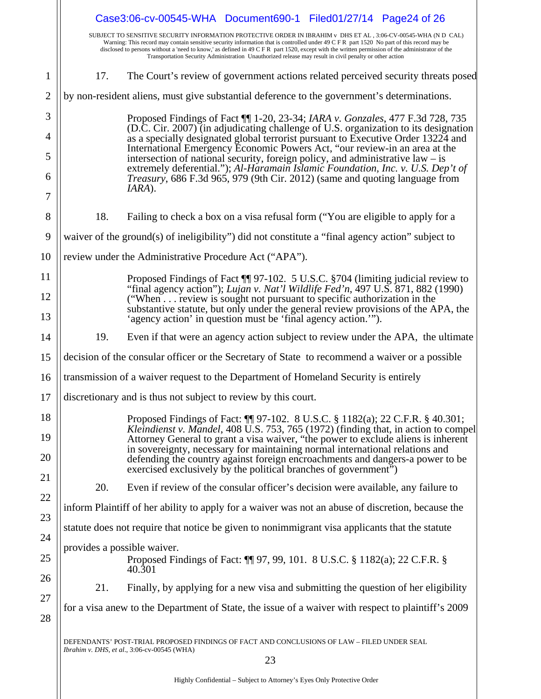|                |                             | Case3:06-cv-00545-WHA Document690-1 Filed01/27/14 Page24 of 26                                                                                                                                                                                                                                                                                                                                                                                                                                                            |
|----------------|-----------------------------|---------------------------------------------------------------------------------------------------------------------------------------------------------------------------------------------------------------------------------------------------------------------------------------------------------------------------------------------------------------------------------------------------------------------------------------------------------------------------------------------------------------------------|
|                |                             | SUBJECT TO SENSITIVE SECURITY INFORMATION PROTECTIVE ORDER IN IBRAHIM v DHS ET AL, 3:06-CV-00545-WHA (N D CAL)<br>Warning: This record may contain sensitive security information that is controlled under 49 C F R part 1520 No part of this record may be<br>disclosed to persons without a 'need to know,' as defined in 49 C F R part 1520, except with the written permission of the administrator of the<br>Transportation Security Administration Unauthorized release may result in civil penalty or other action |
| $\mathbf{1}$   | 17.                         | The Court's review of government actions related perceived security threats posed                                                                                                                                                                                                                                                                                                                                                                                                                                         |
| $\overline{2}$ |                             | by non-resident aliens, must give substantial deference to the government's determinations.                                                                                                                                                                                                                                                                                                                                                                                                                               |
| 3              |                             | Proposed Findings of Fact ¶ 1-20, 23-34; IARA v. Gonzales, 477 F.3d 728, 735                                                                                                                                                                                                                                                                                                                                                                                                                                              |
| 4              |                             | (D.C. Cir. 2007) (in adjudicating challenge of U.S. organization to its designation<br>as a specially designated global terrorist pursuant to Executive Order 13224 and                                                                                                                                                                                                                                                                                                                                                   |
| 5              |                             | International Emergency Economic Powers Act, "our review-in an area at the<br>intersection of national security, foreign policy, and administrative $law - is$                                                                                                                                                                                                                                                                                                                                                            |
| 6<br>7         |                             | extremely deferential."); Al-Haramain Islamic Foundation, Inc. v. U.S. Dep't of<br><i>Treasury</i> , 686 F.3d 965, 979 (9th Cir. 2012) (same and quoting language from<br>IARA).                                                                                                                                                                                                                                                                                                                                          |
| 8              | 18.                         | Failing to check a box on a visa refusal form ("You are eligible to apply for a                                                                                                                                                                                                                                                                                                                                                                                                                                           |
| 9              |                             | waiver of the ground(s) of ineligibility") did not constitute a "final agency action" subject to                                                                                                                                                                                                                                                                                                                                                                                                                          |
| 10             |                             | review under the Administrative Procedure Act ("APA").                                                                                                                                                                                                                                                                                                                                                                                                                                                                    |
| 11             |                             | Proposed Findings of Fact ¶ 97-102. 5 U.S.C. §704 (limiting judicial review to<br>"final agency action"); Lujan v. Nat'l Wildlife Fed'n, $\frac{\lambda}{97}$ U.S. 871, 882 (1990)                                                                                                                                                                                                                                                                                                                                        |
| 12<br>13       |                             | ("When review is sought not pursuant to specific authorization in the<br>substantive statute, but only under the general review provisions of the APA, the<br>'agency action' in question must be 'final agency action.'").                                                                                                                                                                                                                                                                                               |
| 14             | 19.                         | Even if that were an agency action subject to review under the APA, the ultimate                                                                                                                                                                                                                                                                                                                                                                                                                                          |
| 15             |                             | decision of the consular officer or the Secretary of State to recommend a waiver or a possible                                                                                                                                                                                                                                                                                                                                                                                                                            |
| 16             |                             | transmission of a waiver request to the Department of Homeland Security is entirely                                                                                                                                                                                                                                                                                                                                                                                                                                       |
| 17             |                             | discretionary and is thus not subject to review by this court.                                                                                                                                                                                                                                                                                                                                                                                                                                                            |
| 18<br>19       |                             | Proposed Findings of Fact: 1197-102. 8 U.S.C. § 1182(a); 22 C.F.R. § 40.301;<br><i>Kleindienst v. Mandel</i> , 408 U.S. 753, 765 (1972) (finding that, in action to compel<br>Attorney General to grant a visa waiver, "the power to exclude aliens is inherent                                                                                                                                                                                                                                                           |
| 20             |                             | in sovereignty, necessary for maintaining normal international relations and<br>defending the country against foreign encroachments and dangers-a power to be<br>exercised exclusively by the political branches of government <sup>3</sup> )                                                                                                                                                                                                                                                                             |
| 21             | 20.                         | Even if review of the consular officer's decision were available, any failure to                                                                                                                                                                                                                                                                                                                                                                                                                                          |
| 22             |                             | inform Plaintiff of her ability to apply for a waiver was not an abuse of discretion, because the                                                                                                                                                                                                                                                                                                                                                                                                                         |
| 23             |                             | statute does not require that notice be given to nonimmigrant visa applicants that the statute                                                                                                                                                                                                                                                                                                                                                                                                                            |
| 24             | provides a possible waiver. |                                                                                                                                                                                                                                                                                                                                                                                                                                                                                                                           |
| 25             |                             | Proposed Findings of Fact: 1197, 99, 101. 8 U.S.C. § 1182(a); 22 C.F.R. §<br>40.301                                                                                                                                                                                                                                                                                                                                                                                                                                       |
| 26             | 21.                         | Finally, by applying for a new visa and submitting the question of her eligibility                                                                                                                                                                                                                                                                                                                                                                                                                                        |
| 27<br>28       |                             | for a visa anew to the Department of State, the issue of a waiver with respect to plaintiff's 2009                                                                                                                                                                                                                                                                                                                                                                                                                        |
|                |                             | DEFENDANTS' POST-TRIAL PROPOSED FINDINGS OF FACT AND CONCLUSIONS OF LAW – FILED UNDER SEAL<br>Ibrahim v. DHS, et al., 3:06-cv-00545 (WHA)                                                                                                                                                                                                                                                                                                                                                                                 |
|                |                             | 23                                                                                                                                                                                                                                                                                                                                                                                                                                                                                                                        |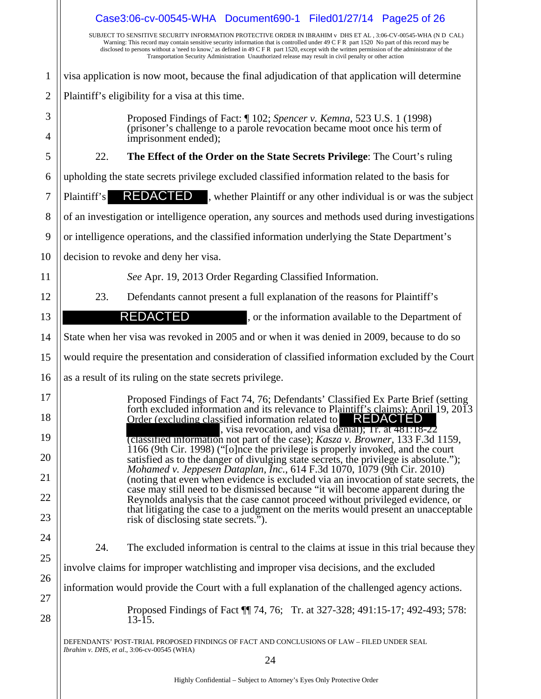|                | Case3:06-cv-00545-WHA Document690-1 Filed01/27/14 Page25 of 26                                                                                                                                                                                                                                                                                                                                                                                                                                                            |
|----------------|---------------------------------------------------------------------------------------------------------------------------------------------------------------------------------------------------------------------------------------------------------------------------------------------------------------------------------------------------------------------------------------------------------------------------------------------------------------------------------------------------------------------------|
|                | SUBJECT TO SENSITIVE SECURITY INFORMATION PROTECTIVE ORDER IN IBRAHIM v DHS ET AL, 3:06-CV-00545-WHA (N D CAL)<br>Warning: This record may contain sensitive security information that is controlled under 49 C F R part 1520 No part of this record may be<br>disclosed to persons without a 'need to know,' as defined in 49 C F R part 1520, except with the written permission of the administrator of the<br>Transportation Security Administration Unauthorized release may result in civil penalty or other action |
| 1              | visa application is now moot, because the final adjudication of that application will determine                                                                                                                                                                                                                                                                                                                                                                                                                           |
| $\overline{2}$ | Plaintiff's eligibility for a visa at this time.                                                                                                                                                                                                                                                                                                                                                                                                                                                                          |
| 3              | Proposed Findings of Fact: ¶ 102; Spencer v. Kemna, 523 U.S. 1 (1998)                                                                                                                                                                                                                                                                                                                                                                                                                                                     |
| 4              | (prisoner's challenge to a parole revocation became moot once his term of<br>imprisonment ended);                                                                                                                                                                                                                                                                                                                                                                                                                         |
| 5              | The Effect of the Order on the State Secrets Privilege: The Court's ruling<br>22.                                                                                                                                                                                                                                                                                                                                                                                                                                         |
| 6              | upholding the state secrets privilege excluded classified information related to the basis for                                                                                                                                                                                                                                                                                                                                                                                                                            |
| 7              | <b>REDACTED</b> , whether Plaintiff or any other individual is or was the subject<br>Plaintiff's                                                                                                                                                                                                                                                                                                                                                                                                                          |
| 8              | of an investigation or intelligence operation, any sources and methods used during investigations                                                                                                                                                                                                                                                                                                                                                                                                                         |
| 9              | or intelligence operations, and the classified information underlying the State Department's                                                                                                                                                                                                                                                                                                                                                                                                                              |
| 10             | decision to revoke and deny her visa.                                                                                                                                                                                                                                                                                                                                                                                                                                                                                     |
| 11             | See Apr. 19, 2013 Order Regarding Classified Information.                                                                                                                                                                                                                                                                                                                                                                                                                                                                 |
| 12             | Defendants cannot present a full explanation of the reasons for Plaintiff's<br>23.                                                                                                                                                                                                                                                                                                                                                                                                                                        |
| 13             | REDACTED<br>, or the information available to the Department of                                                                                                                                                                                                                                                                                                                                                                                                                                                           |
| 14             | State when her visa was revoked in 2005 and or when it was denied in 2009, because to do so                                                                                                                                                                                                                                                                                                                                                                                                                               |
| 15             | would require the presentation and consideration of classified information excluded by the Court                                                                                                                                                                                                                                                                                                                                                                                                                          |
| 16             | as a result of its ruling on the state secrets privilege.                                                                                                                                                                                                                                                                                                                                                                                                                                                                 |
| $17\,$         | Proposed Findings of Fact 74, 76; Defendants' Classified Ex Parte Brief (setting                                                                                                                                                                                                                                                                                                                                                                                                                                          |
| 18             | forth excluded information and its relevance to Plaintiff's claims); April 19, 2013<br><b>REDACTED</b><br>Order (excluding classified information related to                                                                                                                                                                                                                                                                                                                                                              |
| 19             | , visa revocation, and visa denial); Ir. at 481:18-22<br>(classified information not part of the case); <i>Kasza v. Browner</i> , 133 F.3d 1159,<br>1166 (9th Cir. 1998) ("[o]nce the privilege is properly invoked, and the court                                                                                                                                                                                                                                                                                        |
| 20             | satisfied as to the danger of divulging state secrets, the privilege is absolute.");<br>Mohamed v. Jeppesen Dataplan, Inc., 614 F.3d 1070, 1079 (9th Cir. 2010)                                                                                                                                                                                                                                                                                                                                                           |
| 21             | (noting that even when evidence is excluded via an invocation of state secrets, the<br>case may still need to be dismissed because "it will become apparent during the                                                                                                                                                                                                                                                                                                                                                    |
| 22             | Reynolds analysis that the case cannot proceed without privileged evidence, or                                                                                                                                                                                                                                                                                                                                                                                                                                            |
| 23             | that litigating the case to a judgment on the merits would present an unacceptable<br>risk of disclosing state secrets.").                                                                                                                                                                                                                                                                                                                                                                                                |
| 24             | 24.<br>The excluded information is central to the claims at issue in this trial because they                                                                                                                                                                                                                                                                                                                                                                                                                              |
| 25             | involve claims for improper watchlisting and improper visa decisions, and the excluded                                                                                                                                                                                                                                                                                                                                                                                                                                    |
| 26             | information would provide the Court with a full explanation of the challenged agency actions.                                                                                                                                                                                                                                                                                                                                                                                                                             |
| 27<br>28       | Proposed Findings of Fact 1 74, 76; Tr. at 327-328; 491:15-17; 492-493; 578:<br>$13-15.$                                                                                                                                                                                                                                                                                                                                                                                                                                  |
|                | DEFENDANTS' POST-TRIAL PROPOSED FINDINGS OF FACT AND CONCLUSIONS OF LAW – FILED UNDER SEAL<br>Ibrahim v. DHS, et al., 3:06-cv-00545 (WHA)                                                                                                                                                                                                                                                                                                                                                                                 |
|                | 24                                                                                                                                                                                                                                                                                                                                                                                                                                                                                                                        |